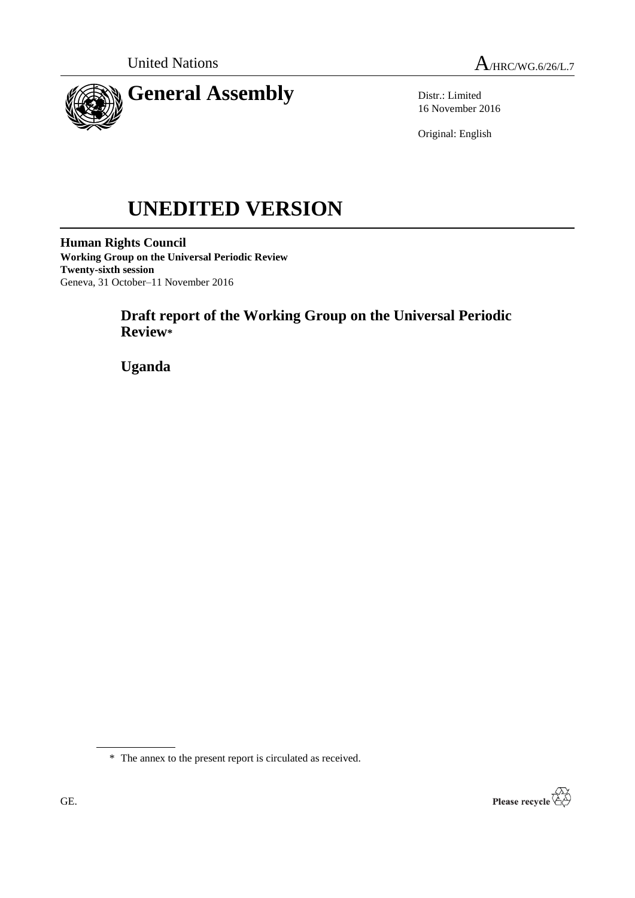



Distr.: Limited 16 November 2016

Original: English

# **UNEDITED VERSION**

**Human Rights Council Working Group on the Universal Periodic Review Twenty-sixth session** Geneva, 31 October–11 November 2016

# **Draft report of the Working Group on the Universal Periodic Review\***

**Uganda**

\* The annex to the present report is circulated as received.

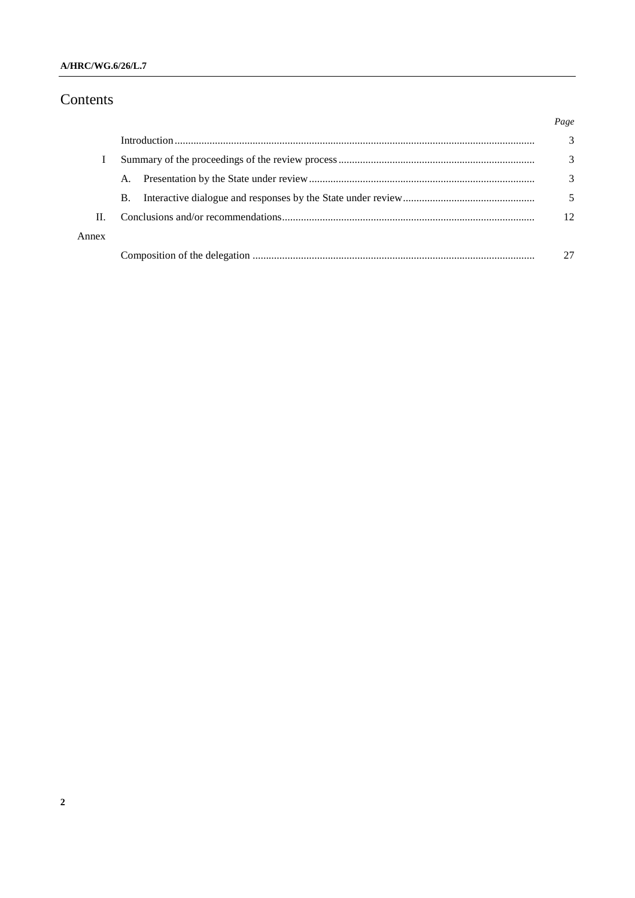# Contents

|       |           | Page |
|-------|-----------|------|
|       |           | 3    |
|       |           | 3    |
|       | A.        | 3    |
|       | <b>B.</b> |      |
| H.    |           | 12   |
| Annex |           |      |
|       |           |      |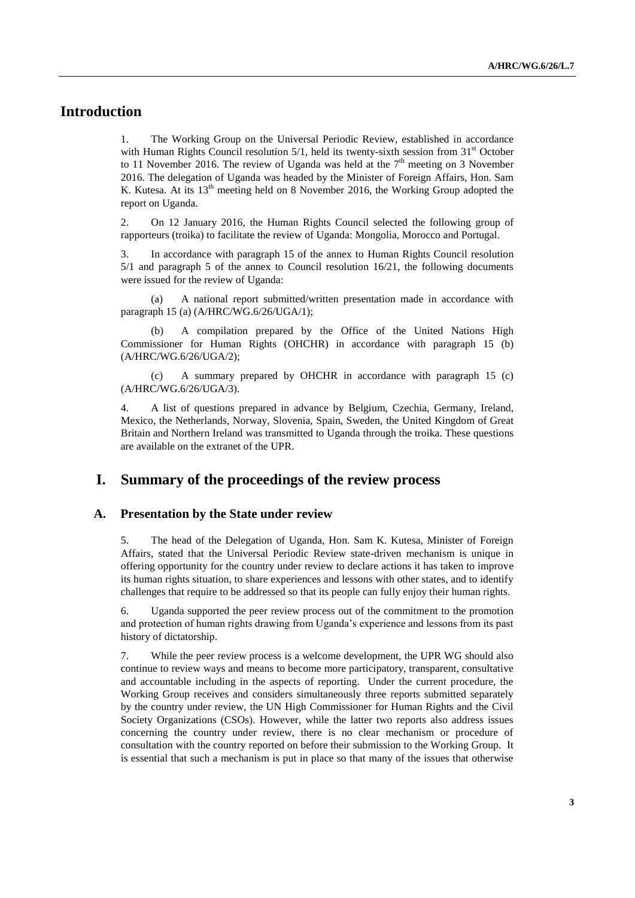## **Introduction**

1. The Working Group on the Universal Periodic Review, established in accordance with Human Rights Council resolution  $5/1$ , held its twenty-sixth session from  $31<sup>st</sup>$  October to 11 November 2016. The review of Uganda was held at the  $7<sup>th</sup>$  meeting on 3 November 2016. The delegation of Uganda was headed by the Minister of Foreign Affairs, Hon. Sam K. Kutesa. At its 13<sup>th</sup> meeting held on 8 November 2016, the Working Group adopted the report on Uganda.

2. On 12 January 2016, the Human Rights Council selected the following group of rapporteurs (troika) to facilitate the review of Uganda: Mongolia, Morocco and Portugal.

3. In accordance with paragraph 15 of the annex to Human Rights Council resolution 5/1 and paragraph 5 of the annex to Council resolution 16/21, the following documents were issued for the review of Uganda:

(a) A national report submitted/written presentation made in accordance with paragraph 15 (a) (A/HRC/WG.6/26/UGA/1);

(b) A compilation prepared by the Office of the United Nations High Commissioner for Human Rights (OHCHR) in accordance with paragraph 15 (b) (A/HRC/WG.6/26/UGA/2);

(c) A summary prepared by OHCHR in accordance with paragraph 15 (c) (A/HRC/WG.6/26/UGA/3).

4. A list of questions prepared in advance by Belgium, Czechia, Germany, Ireland, Mexico, the Netherlands, Norway, Slovenia, Spain, Sweden, the United Kingdom of Great Britain and Northern Ireland was transmitted to Uganda through the troika. These questions are available on the extranet of the UPR.

## **I. Summary of the proceedings of the review process**

#### **A. Presentation by the State under review**

5. The head of the Delegation of Uganda, Hon. Sam K. Kutesa, Minister of Foreign Affairs, stated that the Universal Periodic Review state-driven mechanism is unique in offering opportunity for the country under review to declare actions it has taken to improve its human rights situation, to share experiences and lessons with other states, and to identify challenges that require to be addressed so that its people can fully enjoy their human rights.

6. Uganda supported the peer review process out of the commitment to the promotion and protection of human rights drawing from Uganda's experience and lessons from its past history of dictatorship.

7. While the peer review process is a welcome development, the UPR WG should also continue to review ways and means to become more participatory, transparent, consultative and accountable including in the aspects of reporting. Under the current procedure, the Working Group receives and considers simultaneously three reports submitted separately by the country under review, the UN High Commissioner for Human Rights and the Civil Society Organizations (CSOs). However, while the latter two reports also address issues concerning the country under review, there is no clear mechanism or procedure of consultation with the country reported on before their submission to the Working Group. It is essential that such a mechanism is put in place so that many of the issues that otherwise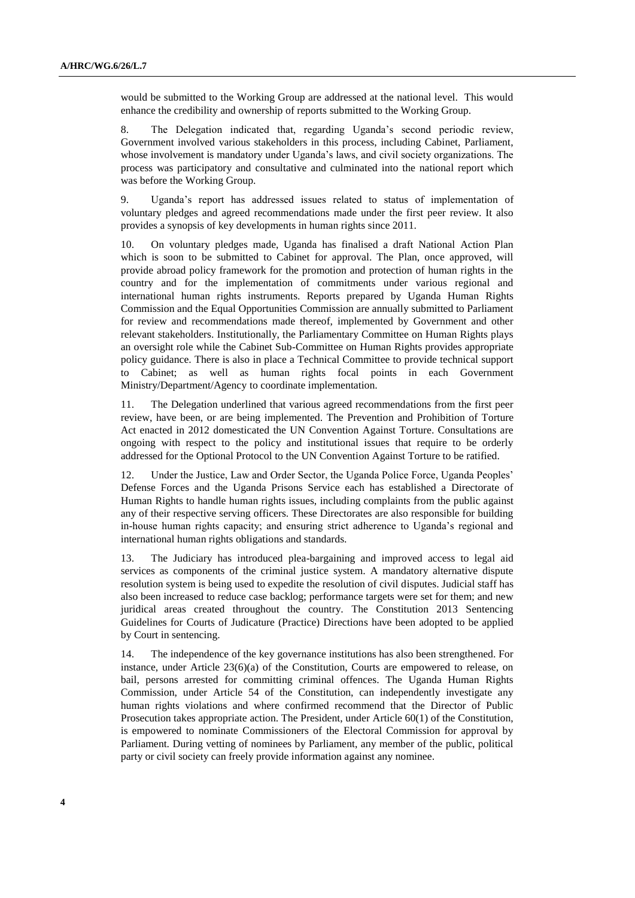would be submitted to the Working Group are addressed at the national level. This would enhance the credibility and ownership of reports submitted to the Working Group.

8. The Delegation indicated that, regarding Uganda's second periodic review, Government involved various stakeholders in this process, including Cabinet, Parliament, whose involvement is mandatory under Uganda's laws, and civil society organizations. The process was participatory and consultative and culminated into the national report which was before the Working Group.

9. Uganda's report has addressed issues related to status of implementation of voluntary pledges and agreed recommendations made under the first peer review. It also provides a synopsis of key developments in human rights since 2011.

10. On voluntary pledges made, Uganda has finalised a draft National Action Plan which is soon to be submitted to Cabinet for approval. The Plan, once approved, will provide abroad policy framework for the promotion and protection of human rights in the country and for the implementation of commitments under various regional and international human rights instruments. Reports prepared by Uganda Human Rights Commission and the Equal Opportunities Commission are annually submitted to Parliament for review and recommendations made thereof, implemented by Government and other relevant stakeholders. Institutionally, the Parliamentary Committee on Human Rights plays an oversight role while the Cabinet Sub-Committee on Human Rights provides appropriate policy guidance. There is also in place a Technical Committee to provide technical support to Cabinet; as well as human rights focal points in each Government Ministry/Department/Agency to coordinate implementation.

11. The Delegation underlined that various agreed recommendations from the first peer review, have been, or are being implemented. The Prevention and Prohibition of Torture Act enacted in 2012 domesticated the UN Convention Against Torture. Consultations are ongoing with respect to the policy and institutional issues that require to be orderly addressed for the Optional Protocol to the UN Convention Against Torture to be ratified.

12. Under the Justice, Law and Order Sector, the Uganda Police Force, Uganda Peoples' Defense Forces and the Uganda Prisons Service each has established a Directorate of Human Rights to handle human rights issues, including complaints from the public against any of their respective serving officers. These Directorates are also responsible for building in-house human rights capacity; and ensuring strict adherence to Uganda's regional and international human rights obligations and standards.

13. The Judiciary has introduced plea-bargaining and improved access to legal aid services as components of the criminal justice system. A mandatory alternative dispute resolution system is being used to expedite the resolution of civil disputes. Judicial staff has also been increased to reduce case backlog; performance targets were set for them; and new juridical areas created throughout the country. The Constitution 2013 Sentencing Guidelines for Courts of Judicature (Practice) Directions have been adopted to be applied by Court in sentencing.

14. The independence of the key governance institutions has also been strengthened. For instance, under Article  $23(6)(a)$  of the Constitution, Courts are empowered to release, on bail, persons arrested for committing criminal offences. The Uganda Human Rights Commission, under Article 54 of the Constitution, can independently investigate any human rights violations and where confirmed recommend that the Director of Public Prosecution takes appropriate action. The President, under Article 60(1) of the Constitution, is empowered to nominate Commissioners of the Electoral Commission for approval by Parliament. During vetting of nominees by Parliament, any member of the public, political party or civil society can freely provide information against any nominee.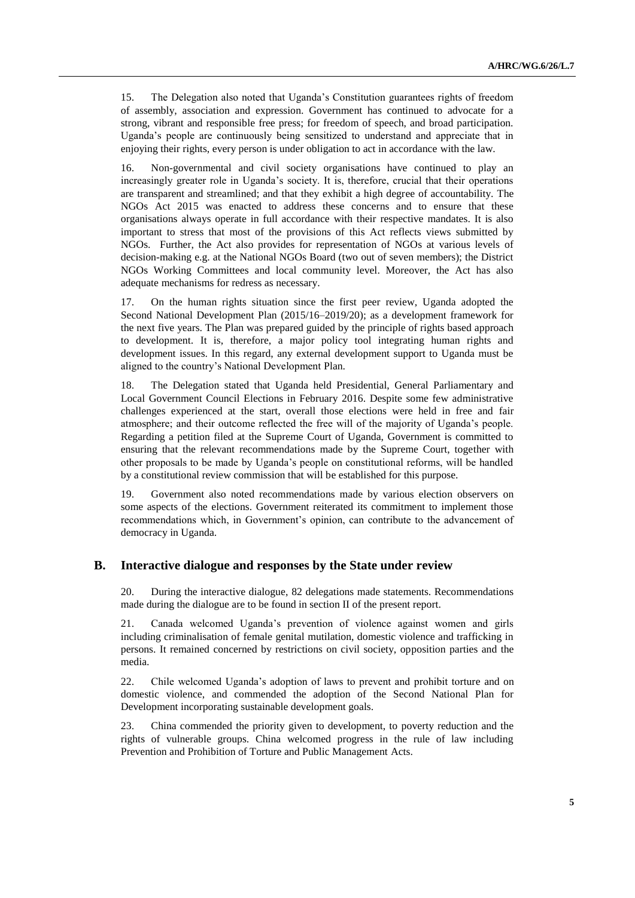15. The Delegation also noted that Uganda's Constitution guarantees rights of freedom of assembly, association and expression. Government has continued to advocate for a strong, vibrant and responsible free press; for freedom of speech, and broad participation. Uganda's people are continuously being sensitized to understand and appreciate that in enjoying their rights, every person is under obligation to act in accordance with the law.

16. Non-governmental and civil society organisations have continued to play an increasingly greater role in Uganda's society. It is, therefore, crucial that their operations are transparent and streamlined; and that they exhibit a high degree of accountability. The NGOs Act 2015 was enacted to address these concerns and to ensure that these organisations always operate in full accordance with their respective mandates. It is also important to stress that most of the provisions of this Act reflects views submitted by NGOs. Further, the Act also provides for representation of NGOs at various levels of decision-making e.g. at the National NGOs Board (two out of seven members); the District NGOs Working Committees and local community level. Moreover, the Act has also adequate mechanisms for redress as necessary.

17. On the human rights situation since the first peer review, Uganda adopted the Second National Development Plan (2015/16–2019/20); as a development framework for the next five years. The Plan was prepared guided by the principle of rights based approach to development. It is, therefore, a major policy tool integrating human rights and development issues. In this regard, any external development support to Uganda must be aligned to the country's National Development Plan.

18. The Delegation stated that Uganda held Presidential, General Parliamentary and Local Government Council Elections in February 2016. Despite some few administrative challenges experienced at the start, overall those elections were held in free and fair atmosphere; and their outcome reflected the free will of the majority of Uganda's people. Regarding a petition filed at the Supreme Court of Uganda, Government is committed to ensuring that the relevant recommendations made by the Supreme Court, together with other proposals to be made by Uganda's people on constitutional reforms, will be handled by a constitutional review commission that will be established for this purpose.

19. Government also noted recommendations made by various election observers on some aspects of the elections. Government reiterated its commitment to implement those recommendations which, in Government's opinion, can contribute to the advancement of democracy in Uganda.

#### **B. Interactive dialogue and responses by the State under review**

20. During the interactive dialogue, 82 delegations made statements. Recommendations made during the dialogue are to be found in section II of the present report.

21. Canada welcomed Uganda's prevention of violence against women and girls including criminalisation of female genital mutilation, domestic violence and trafficking in persons. It remained concerned by restrictions on civil society, opposition parties and the media.

22. Chile welcomed Uganda's adoption of laws to prevent and prohibit torture and on domestic violence, and commended the adoption of the Second National Plan for Development incorporating sustainable development goals.

23. China commended the priority given to development, to poverty reduction and the rights of vulnerable groups. China welcomed progress in the rule of law including Prevention and Prohibition of Torture and Public Management Acts.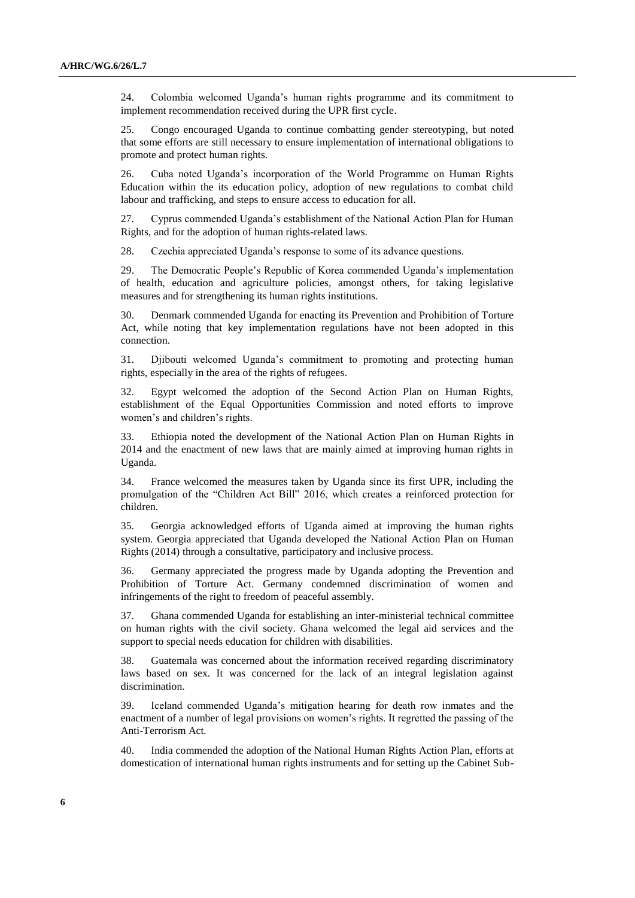24. Colombia welcomed Uganda's human rights programme and its commitment to implement recommendation received during the UPR first cycle.

25. Congo encouraged Uganda to continue combatting gender stereotyping, but noted that some efforts are still necessary to ensure implementation of international obligations to promote and protect human rights.

26. Cuba noted Uganda's incorporation of the World Programme on Human Rights Education within the its education policy, adoption of new regulations to combat child labour and trafficking, and steps to ensure access to education for all.

27. Cyprus commended Uganda's establishment of the National Action Plan for Human Rights, and for the adoption of human rights-related laws.

28. Czechia appreciated Uganda's response to some of its advance questions.

29. The Democratic People's Republic of Korea commended Uganda's implementation of health, education and agriculture policies, amongst others, for taking legislative measures and for strengthening its human rights institutions.

30. Denmark commended Uganda for enacting its Prevention and Prohibition of Torture Act, while noting that key implementation regulations have not been adopted in this connection.

31. Djibouti welcomed Uganda's commitment to promoting and protecting human rights, especially in the area of the rights of refugees.

32. Egypt welcomed the adoption of the Second Action Plan on Human Rights, establishment of the Equal Opportunities Commission and noted efforts to improve women's and children's rights.

33. Ethiopia noted the development of the National Action Plan on Human Rights in 2014 and the enactment of new laws that are mainly aimed at improving human rights in Uganda.

34. France welcomed the measures taken by Uganda since its first UPR, including the promulgation of the "Children Act Bill" 2016, which creates a reinforced protection for children.

35. Georgia acknowledged efforts of Uganda aimed at improving the human rights system. Georgia appreciated that Uganda developed the National Action Plan on Human Rights (2014) through a consultative, participatory and inclusive process.

36. Germany appreciated the progress made by Uganda adopting the Prevention and Prohibition of Torture Act. Germany condemned discrimination of women and infringements of the right to freedom of peaceful assembly.

37. Ghana commended Uganda for establishing an inter-ministerial technical committee on human rights with the civil society. Ghana welcomed the legal aid services and the support to special needs education for children with disabilities.

38. Guatemala was concerned about the information received regarding discriminatory laws based on sex. It was concerned for the lack of an integral legislation against discrimination.

39. Iceland commended Uganda's mitigation hearing for death row inmates and the enactment of a number of legal provisions on women's rights. It regretted the passing of the Anti-Terrorism Act.

40. India commended the adoption of the National Human Rights Action Plan, efforts at domestication of international human rights instruments and for setting up the Cabinet Sub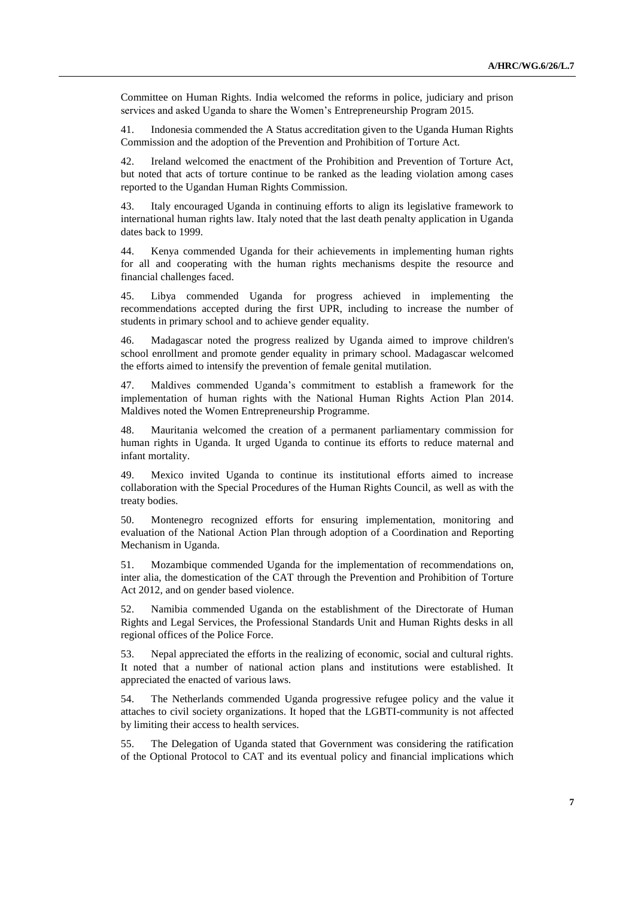Committee on Human Rights. India welcomed the reforms in police, judiciary and prison services and asked Uganda to share the Women's Entrepreneurship Program 2015.

41. Indonesia commended the A Status accreditation given to the Uganda Human Rights Commission and the adoption of the Prevention and Prohibition of Torture Act.

42. Ireland welcomed the enactment of the Prohibition and Prevention of Torture Act, but noted that acts of torture continue to be ranked as the leading violation among cases reported to the Ugandan Human Rights Commission.

43. Italy encouraged Uganda in continuing efforts to align its legislative framework to international human rights law. Italy noted that the last death penalty application in Uganda dates back to 1999.

44. Kenya commended Uganda for their achievements in implementing human rights for all and cooperating with the human rights mechanisms despite the resource and financial challenges faced.

45. Libya commended Uganda for progress achieved in implementing the recommendations accepted during the first UPR, including to increase the number of students in primary school and to achieve gender equality.

46. Madagascar noted the progress realized by Uganda aimed to improve children's school enrollment and promote gender equality in primary school. Madagascar welcomed the efforts aimed to intensify the prevention of female genital mutilation.

47. Maldives commended Uganda's commitment to establish a framework for the implementation of human rights with the National Human Rights Action Plan 2014. Maldives noted the Women Entrepreneurship Programme.

48. Mauritania welcomed the creation of a permanent parliamentary commission for human rights in Uganda. It urged Uganda to continue its efforts to reduce maternal and infant mortality.

49. Mexico invited Uganda to continue its institutional efforts aimed to increase collaboration with the Special Procedures of the Human Rights Council, as well as with the treaty bodies.

50. Montenegro recognized efforts for ensuring implementation, monitoring and evaluation of the National Action Plan through adoption of a Coordination and Reporting Mechanism in Uganda.

51. Mozambique commended Uganda for the implementation of recommendations on, inter alia, the domestication of the CAT through the Prevention and Prohibition of Torture Act 2012, and on gender based violence.

52. Namibia commended Uganda on the establishment of the Directorate of Human Rights and Legal Services, the Professional Standards Unit and Human Rights desks in all regional offices of the Police Force.

53. Nepal appreciated the efforts in the realizing of economic, social and cultural rights. It noted that a number of national action plans and institutions were established. It appreciated the enacted of various laws.

54. The Netherlands commended Uganda progressive refugee policy and the value it attaches to civil society organizations. It hoped that the LGBTI-community is not affected by limiting their access to health services.

55. The Delegation of Uganda stated that Government was considering the ratification of the Optional Protocol to CAT and its eventual policy and financial implications which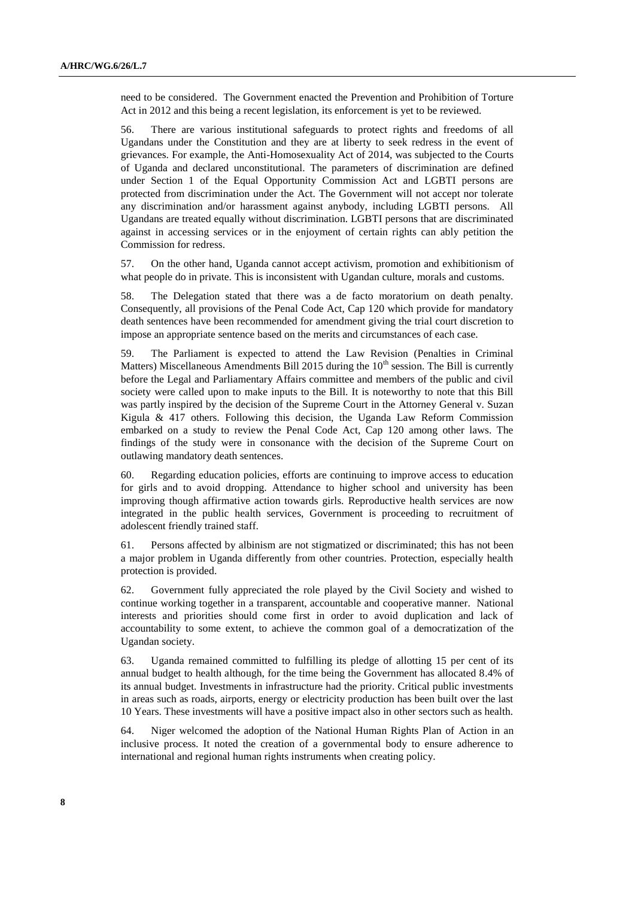need to be considered. The Government enacted the Prevention and Prohibition of Torture Act in 2012 and this being a recent legislation, its enforcement is yet to be reviewed.

56. There are various institutional safeguards to protect rights and freedoms of all Ugandans under the Constitution and they are at liberty to seek redress in the event of grievances. For example, the Anti-Homosexuality Act of 2014, was subjected to the Courts of Uganda and declared unconstitutional. The parameters of discrimination are defined under Section 1 of the Equal Opportunity Commission Act and LGBTI persons are protected from discrimination under the Act. The Government will not accept nor tolerate any discrimination and/or harassment against anybody, including LGBTI persons. All Ugandans are treated equally without discrimination. LGBTI persons that are discriminated against in accessing services or in the enjoyment of certain rights can ably petition the Commission for redress.

57. On the other hand, Uganda cannot accept activism, promotion and exhibitionism of what people do in private. This is inconsistent with Ugandan culture, morals and customs.

58. The Delegation stated that there was a de facto moratorium on death penalty. Consequently, all provisions of the Penal Code Act, Cap 120 which provide for mandatory death sentences have been recommended for amendment giving the trial court discretion to impose an appropriate sentence based on the merits and circumstances of each case.

59. The Parliament is expected to attend the Law Revision (Penalties in Criminal Matters) Miscellaneous Amendments Bill 2015 during the  $10<sup>th</sup>$  session. The Bill is currently before the Legal and Parliamentary Affairs committee and members of the public and civil society were called upon to make inputs to the Bill. It is noteworthy to note that this Bill was partly inspired by the decision of the Supreme Court in the Attorney General v. Suzan Kigula & 417 others. Following this decision, the Uganda Law Reform Commission embarked on a study to review the Penal Code Act, Cap 120 among other laws. The findings of the study were in consonance with the decision of the Supreme Court on outlawing mandatory death sentences.

60. Regarding education policies, efforts are continuing to improve access to education for girls and to avoid dropping. Attendance to higher school and university has been improving though affirmative action towards girls. Reproductive health services are now integrated in the public health services, Government is proceeding to recruitment of adolescent friendly trained staff.

61. Persons affected by albinism are not stigmatized or discriminated; this has not been a major problem in Uganda differently from other countries. Protection, especially health protection is provided.

62. Government fully appreciated the role played by the Civil Society and wished to continue working together in a transparent, accountable and cooperative manner. National interests and priorities should come first in order to avoid duplication and lack of accountability to some extent, to achieve the common goal of a democratization of the Ugandan society.

63. Uganda remained committed to fulfilling its pledge of allotting 15 per cent of its annual budget to health although, for the time being the Government has allocated 8.4% of its annual budget. Investments in infrastructure had the priority. Critical public investments in areas such as roads, airports, energy or electricity production has been built over the last 10 Years. These investments will have a positive impact also in other sectors such as health.

64. Niger welcomed the adoption of the National Human Rights Plan of Action in an inclusive process. It noted the creation of a governmental body to ensure adherence to international and regional human rights instruments when creating policy.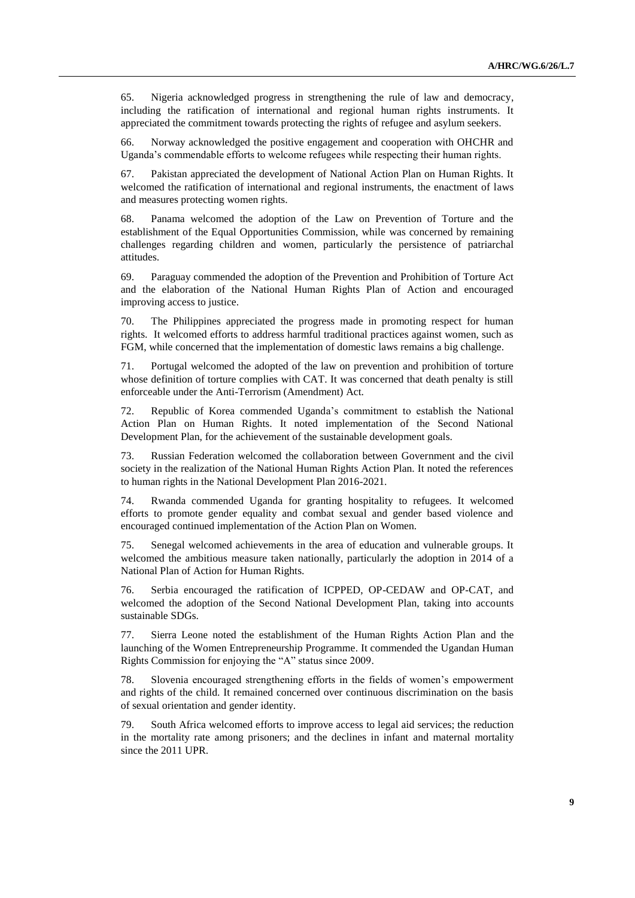65. Nigeria acknowledged progress in strengthening the rule of law and democracy, including the ratification of international and regional human rights instruments. It appreciated the commitment towards protecting the rights of refugee and asylum seekers.

66. Norway acknowledged the positive engagement and cooperation with OHCHR and Uganda's commendable efforts to welcome refugees while respecting their human rights.

67. Pakistan appreciated the development of National Action Plan on Human Rights. It welcomed the ratification of international and regional instruments, the enactment of laws and measures protecting women rights.

68. Panama welcomed the adoption of the Law on Prevention of Torture and the establishment of the Equal Opportunities Commission, while was concerned by remaining challenges regarding children and women, particularly the persistence of patriarchal attitudes.

69. Paraguay commended the adoption of the Prevention and Prohibition of Torture Act and the elaboration of the National Human Rights Plan of Action and encouraged improving access to justice.

70. The Philippines appreciated the progress made in promoting respect for human rights. It welcomed efforts to address harmful traditional practices against women, such as FGM, while concerned that the implementation of domestic laws remains a big challenge.

71. Portugal welcomed the adopted of the law on prevention and prohibition of torture whose definition of torture complies with CAT. It was concerned that death penalty is still enforceable under the Anti-Terrorism (Amendment) Act.

72. Republic of Korea commended Uganda's commitment to establish the National Action Plan on Human Rights. It noted implementation of the Second National Development Plan, for the achievement of the sustainable development goals.

73. Russian Federation welcomed the collaboration between Government and the civil society in the realization of the National Human Rights Action Plan. It noted the references to human rights in the National Development Plan 2016-2021.

74. Rwanda commended Uganda for granting hospitality to refugees. It welcomed efforts to promote gender equality and combat sexual and gender based violence and encouraged continued implementation of the Action Plan on Women.

75. Senegal welcomed achievements in the area of education and vulnerable groups. It welcomed the ambitious measure taken nationally, particularly the adoption in 2014 of a National Plan of Action for Human Rights.

76. Serbia encouraged the ratification of ICPPED, OP-CEDAW and OP-CAT, and welcomed the adoption of the Second National Development Plan, taking into accounts sustainable SDGs.

77. Sierra Leone noted the establishment of the Human Rights Action Plan and the launching of the Women Entrepreneurship Programme. It commended the Ugandan Human Rights Commission for enjoying the "A" status since 2009.

78. Slovenia encouraged strengthening efforts in the fields of women's empowerment and rights of the child. It remained concerned over continuous discrimination on the basis of sexual orientation and gender identity.

79. South Africa welcomed efforts to improve access to legal aid services; the reduction in the mortality rate among prisoners; and the declines in infant and maternal mortality since the 2011 UPR.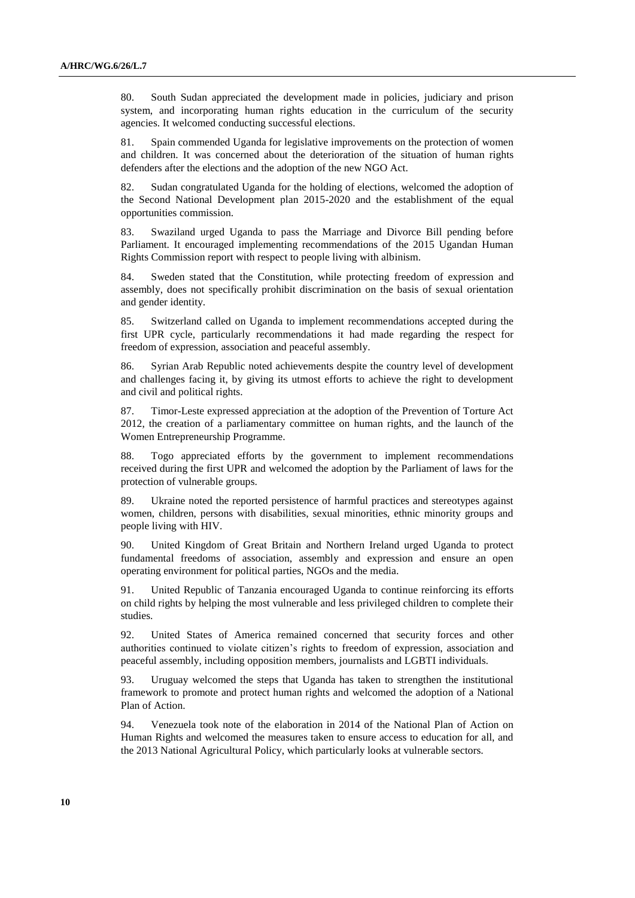80. South Sudan appreciated the development made in policies, judiciary and prison system, and incorporating human rights education in the curriculum of the security agencies. It welcomed conducting successful elections.

81. Spain commended Uganda for legislative improvements on the protection of women and children. It was concerned about the deterioration of the situation of human rights defenders after the elections and the adoption of the new NGO Act.

82. Sudan congratulated Uganda for the holding of elections, welcomed the adoption of the Second National Development plan 2015-2020 and the establishment of the equal opportunities commission.

83. Swaziland urged Uganda to pass the Marriage and Divorce Bill pending before Parliament. It encouraged implementing recommendations of the 2015 Ugandan Human Rights Commission report with respect to people living with albinism.

84. Sweden stated that the Constitution, while protecting freedom of expression and assembly, does not specifically prohibit discrimination on the basis of sexual orientation and gender identity.

85. Switzerland called on Uganda to implement recommendations accepted during the first UPR cycle, particularly recommendations it had made regarding the respect for freedom of expression, association and peaceful assembly.

86. Syrian Arab Republic noted achievements despite the country level of development and challenges facing it, by giving its utmost efforts to achieve the right to development and civil and political rights.

87. Timor-Leste expressed appreciation at the adoption of the Prevention of Torture Act 2012, the creation of a parliamentary committee on human rights, and the launch of the Women Entrepreneurship Programme.

88. Togo appreciated efforts by the government to implement recommendations received during the first UPR and welcomed the adoption by the Parliament of laws for the protection of vulnerable groups.

89. Ukraine noted the reported persistence of harmful practices and stereotypes against women, children, persons with disabilities, sexual minorities, ethnic minority groups and people living with HIV.

90. United Kingdom of Great Britain and Northern Ireland urged Uganda to protect fundamental freedoms of association, assembly and expression and ensure an open operating environment for political parties, NGOs and the media.

91. United Republic of Tanzania encouraged Uganda to continue reinforcing its efforts on child rights by helping the most vulnerable and less privileged children to complete their studies.

92. United States of America remained concerned that security forces and other authorities continued to violate citizen's rights to freedom of expression, association and peaceful assembly, including opposition members, journalists and LGBTI individuals.

93. Uruguay welcomed the steps that Uganda has taken to strengthen the institutional framework to promote and protect human rights and welcomed the adoption of a National Plan of Action.

94. Venezuela took note of the elaboration in 2014 of the National Plan of Action on Human Rights and welcomed the measures taken to ensure access to education for all, and the 2013 National Agricultural Policy, which particularly looks at vulnerable sectors.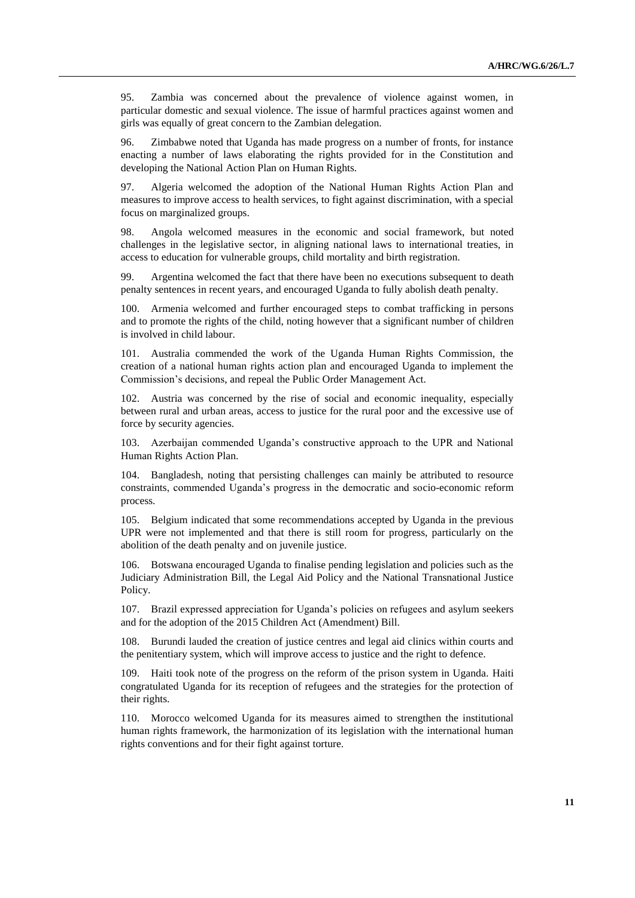95. Zambia was concerned about the prevalence of violence against women, in particular domestic and sexual violence. The issue of harmful practices against women and girls was equally of great concern to the Zambian delegation.

96. Zimbabwe noted that Uganda has made progress on a number of fronts, for instance enacting a number of laws elaborating the rights provided for in the Constitution and developing the National Action Plan on Human Rights.

97. Algeria welcomed the adoption of the National Human Rights Action Plan and measures to improve access to health services, to fight against discrimination, with a special focus on marginalized groups.

98. Angola welcomed measures in the economic and social framework, but noted challenges in the legislative sector, in aligning national laws to international treaties, in access to education for vulnerable groups, child mortality and birth registration.

99. Argentina welcomed the fact that there have been no executions subsequent to death penalty sentences in recent years, and encouraged Uganda to fully abolish death penalty.

100. Armenia welcomed and further encouraged steps to combat trafficking in persons and to promote the rights of the child, noting however that a significant number of children is involved in child labour.

101. Australia commended the work of the Uganda Human Rights Commission, the creation of a national human rights action plan and encouraged Uganda to implement the Commission's decisions, and repeal the Public Order Management Act.

Austria was concerned by the rise of social and economic inequality, especially between rural and urban areas, access to justice for the rural poor and the excessive use of force by security agencies.

103. Azerbaijan commended Uganda's constructive approach to the UPR and National Human Rights Action Plan.

104. Bangladesh, noting that persisting challenges can mainly be attributed to resource constraints, commended Uganda's progress in the democratic and socio-economic reform process.

105. Belgium indicated that some recommendations accepted by Uganda in the previous UPR were not implemented and that there is still room for progress, particularly on the abolition of the death penalty and on juvenile justice.

106. Botswana encouraged Uganda to finalise pending legislation and policies such as the Judiciary Administration Bill, the Legal Aid Policy and the National Transnational Justice Policy.

107. Brazil expressed appreciation for Uganda's policies on refugees and asylum seekers and for the adoption of the 2015 Children Act (Amendment) Bill.

108. Burundi lauded the creation of justice centres and legal aid clinics within courts and the penitentiary system, which will improve access to justice and the right to defence.

109. Haiti took note of the progress on the reform of the prison system in Uganda. Haiti congratulated Uganda for its reception of refugees and the strategies for the protection of their rights.

110. Morocco welcomed Uganda for its measures aimed to strengthen the institutional human rights framework, the harmonization of its legislation with the international human rights conventions and for their fight against torture.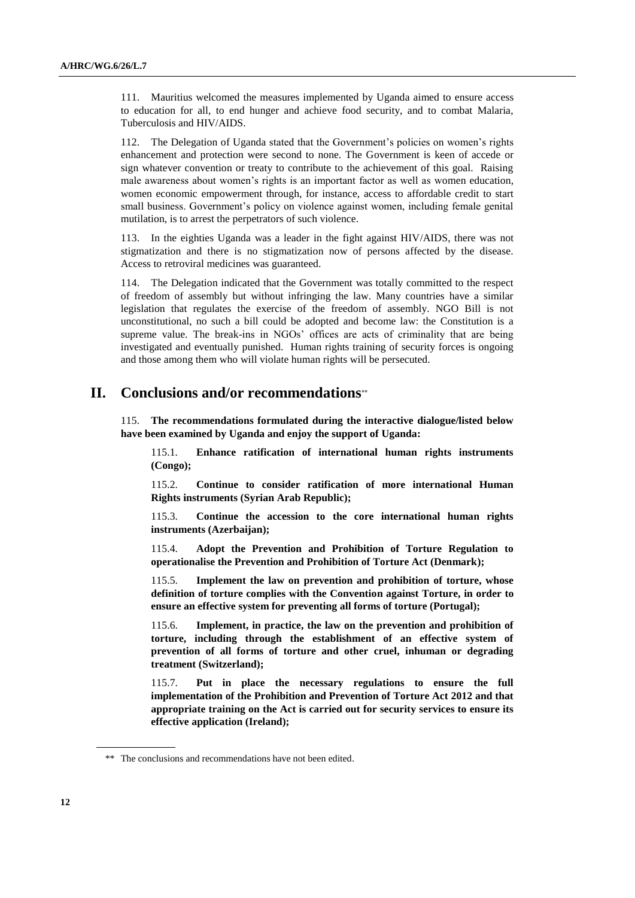111. Mauritius welcomed the measures implemented by Uganda aimed to ensure access to education for all, to end hunger and achieve food security, and to combat Malaria, Tuberculosis and HIV/AIDS.

112. The Delegation of Uganda stated that the Government's policies on women's rights enhancement and protection were second to none. The Government is keen of accede or sign whatever convention or treaty to contribute to the achievement of this goal. Raising male awareness about women's rights is an important factor as well as women education, women economic empowerment through, for instance, access to affordable credit to start small business. Government's policy on violence against women, including female genital mutilation, is to arrest the perpetrators of such violence.

113. In the eighties Uganda was a leader in the fight against HIV/AIDS, there was not stigmatization and there is no stigmatization now of persons affected by the disease. Access to retroviral medicines was guaranteed.

114. The Delegation indicated that the Government was totally committed to the respect of freedom of assembly but without infringing the law. Many countries have a similar legislation that regulates the exercise of the freedom of assembly. NGO Bill is not unconstitutional, no such a bill could be adopted and become law: the Constitution is a supreme value. The break-ins in NGOs' offices are acts of criminality that are being investigated and eventually punished. Human rights training of security forces is ongoing and those among them who will violate human rights will be persecuted.

## **II. Conclusions and/or recommendations**

115. **The recommendations formulated during the interactive dialogue/listed below have been examined by Uganda and enjoy the support of Uganda:**

115.1. **Enhance ratification of international human rights instruments (Congo);**

115.2. **Continue to consider ratification of more international Human Rights instruments (Syrian Arab Republic);**

115.3. **Continue the accession to the core international human rights instruments (Azerbaijan);**

115.4. **Adopt the Prevention and Prohibition of Torture Regulation to operationalise the Prevention and Prohibition of Torture Act (Denmark);**

115.5. **Implement the law on prevention and prohibition of torture, whose definition of torture complies with the Convention against Torture, in order to ensure an effective system for preventing all forms of torture (Portugal);**

115.6. **Implement, in practice, the law on the prevention and prohibition of torture, including through the establishment of an effective system of prevention of all forms of torture and other cruel, inhuman or degrading treatment (Switzerland);**

115.7. **Put in place the necessary regulations to ensure the full implementation of the Prohibition and Prevention of Torture Act 2012 and that appropriate training on the Act is carried out for security services to ensure its effective application (Ireland);**

<sup>\*\*</sup> The conclusions and recommendations have not been edited.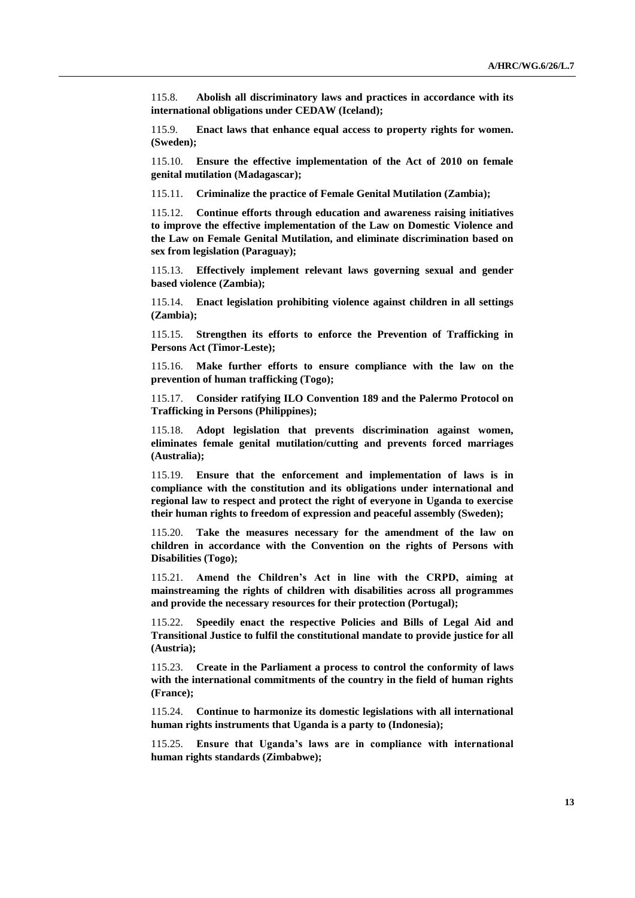115.8. **Abolish all discriminatory laws and practices in accordance with its international obligations under CEDAW (Iceland);**

115.9. **Enact laws that enhance equal access to property rights for women. (Sweden);**

115.10. **Ensure the effective implementation of the Act of 2010 on female genital mutilation (Madagascar);**

115.11. **Criminalize the practice of Female Genital Mutilation (Zambia);**

115.12. **Continue efforts through education and awareness raising initiatives to improve the effective implementation of the Law on Domestic Violence and the Law on Female Genital Mutilation, and eliminate discrimination based on sex from legislation (Paraguay);**

115.13. **Effectively implement relevant laws governing sexual and gender based violence (Zambia);**

115.14. **Enact legislation prohibiting violence against children in all settings (Zambia);**

115.15. **Strengthen its efforts to enforce the Prevention of Trafficking in Persons Act (Timor-Leste);**

115.16. **Make further efforts to ensure compliance with the law on the prevention of human trafficking (Togo);**

115.17. **Consider ratifying ILO Convention 189 and the Palermo Protocol on Trafficking in Persons (Philippines);**

115.18. **Adopt legislation that prevents discrimination against women, eliminates female genital mutilation/cutting and prevents forced marriages (Australia);**

115.19. **Ensure that the enforcement and implementation of laws is in compliance with the constitution and its obligations under international and regional law to respect and protect the right of everyone in Uganda to exercise their human rights to freedom of expression and peaceful assembly (Sweden);**

115.20. **Take the measures necessary for the amendment of the law on children in accordance with the Convention on the rights of Persons with Disabilities (Togo);**

115.21. **Amend the Children's Act in line with the CRPD, aiming at mainstreaming the rights of children with disabilities across all programmes and provide the necessary resources for their protection (Portugal);**

115.22. **Speedily enact the respective Policies and Bills of Legal Aid and Transitional Justice to fulfil the constitutional mandate to provide justice for all (Austria);**

115.23. **Create in the Parliament a process to control the conformity of laws with the international commitments of the country in the field of human rights (France);**

115.24. **Continue to harmonize its domestic legislations with all international human rights instruments that Uganda is a party to (Indonesia);**

115.25. **Ensure that Uganda's laws are in compliance with international human rights standards (Zimbabwe);**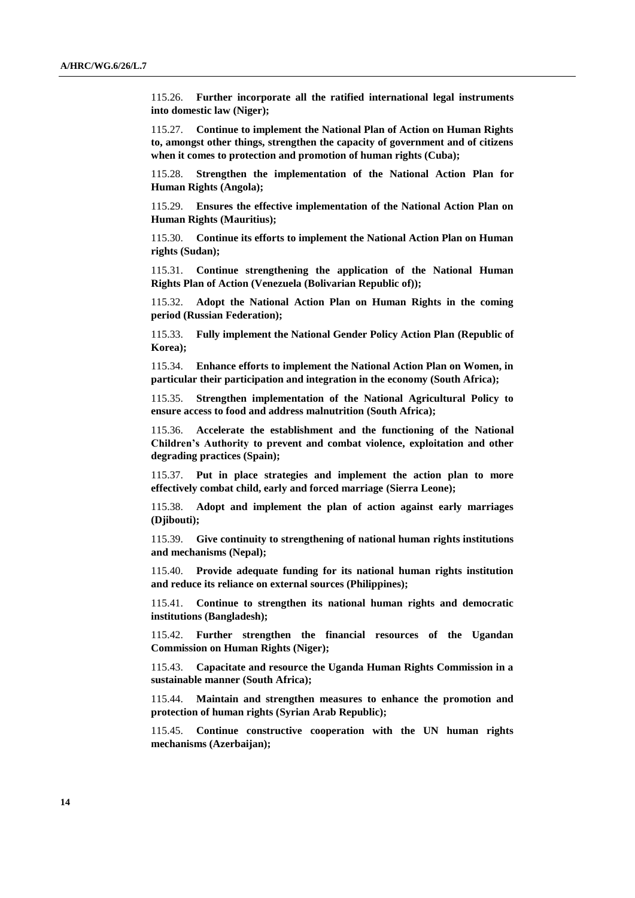115.26. **Further incorporate all the ratified international legal instruments into domestic law (Niger);**

115.27. **Continue to implement the National Plan of Action on Human Rights to, amongst other things, strengthen the capacity of government and of citizens when it comes to protection and promotion of human rights (Cuba);**

115.28. **Strengthen the implementation of the National Action Plan for Human Rights (Angola);**

115.29. **Ensures the effective implementation of the National Action Plan on Human Rights (Mauritius);**

115.30. **Continue its efforts to implement the National Action Plan on Human rights (Sudan);**

115.31. **Continue strengthening the application of the National Human Rights Plan of Action (Venezuela (Bolivarian Republic of));**

115.32. **Adopt the National Action Plan on Human Rights in the coming period (Russian Federation);**

115.33. **Fully implement the National Gender Policy Action Plan (Republic of Korea);**

115.34. **Enhance efforts to implement the National Action Plan on Women, in particular their participation and integration in the economy (South Africa);**

**Strengthen implementation of the National Agricultural Policy to ensure access to food and address malnutrition (South Africa);**

115.36. **Accelerate the establishment and the functioning of the National Children's Authority to prevent and combat violence, exploitation and other degrading practices (Spain);**

115.37. **Put in place strategies and implement the action plan to more effectively combat child, early and forced marriage (Sierra Leone);**

115.38. **Adopt and implement the plan of action against early marriages (Djibouti);**

115.39. **Give continuity to strengthening of national human rights institutions and mechanisms (Nepal);**

115.40. **Provide adequate funding for its national human rights institution and reduce its reliance on external sources (Philippines);**

115.41. **Continue to strengthen its national human rights and democratic institutions (Bangladesh);**

115.42. **Further strengthen the financial resources of the Ugandan Commission on Human Rights (Niger);**

115.43. **Capacitate and resource the Uganda Human Rights Commission in a sustainable manner (South Africa);**

115.44. **Maintain and strengthen measures to enhance the promotion and protection of human rights (Syrian Arab Republic);**

115.45. **Continue constructive cooperation with the UN human rights mechanisms (Azerbaijan);**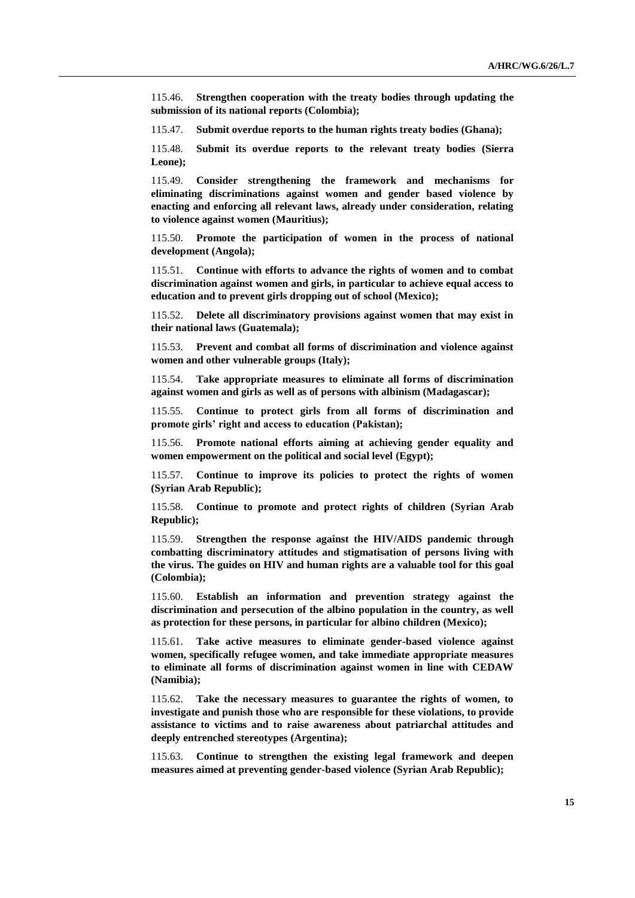115.46. **Strengthen cooperation with the treaty bodies through updating the submission of its national reports (Colombia);**

115.47. **Submit overdue reports to the human rights treaty bodies (Ghana);**

115.48. **Submit its overdue reports to the relevant treaty bodies (Sierra Leone);**

115.49. **Consider strengthening the framework and mechanisms for eliminating discriminations against women and gender based violence by enacting and enforcing all relevant laws, already under consideration, relating to violence against women (Mauritius);**

115.50. **Promote the participation of women in the process of national development (Angola);**

115.51. **Continue with efforts to advance the rights of women and to combat discrimination against women and girls, in particular to achieve equal access to education and to prevent girls dropping out of school (Mexico);**

115.52. **Delete all discriminatory provisions against women that may exist in their national laws (Guatemala);**

115.53. **Prevent and combat all forms of discrimination and violence against women and other vulnerable groups (Italy);**

115.54. **Take appropriate measures to eliminate all forms of discrimination against women and girls as well as of persons with albinism (Madagascar);**

115.55. **Continue to protect girls from all forms of discrimination and promote girls' right and access to education (Pakistan);**

115.56. **Promote national efforts aiming at achieving gender equality and women empowerment on the political and social level (Egypt);**

115.57. **Continue to improve its policies to protect the rights of women (Syrian Arab Republic);**

115.58. **Continue to promote and protect rights of children (Syrian Arab Republic);**

115.59. **Strengthen the response against the HIV/AIDS pandemic through combatting discriminatory attitudes and stigmatisation of persons living with the virus. The guides on HIV and human rights are a valuable tool for this goal (Colombia);**

115.60. **Establish an information and prevention strategy against the discrimination and persecution of the albino population in the country, as well as protection for these persons, in particular for albino children (Mexico);**

115.61. **Take active measures to eliminate gender-based violence against women, specifically refugee women, and take immediate appropriate measures to eliminate all forms of discrimination against women in line with CEDAW (Namibia);**

115.62. **Take the necessary measures to guarantee the rights of women, to investigate and punish those who are responsible for these violations, to provide assistance to victims and to raise awareness about patriarchal attitudes and deeply entrenched stereotypes (Argentina);**

115.63. **Continue to strengthen the existing legal framework and deepen measures aimed at preventing gender-based violence (Syrian Arab Republic);**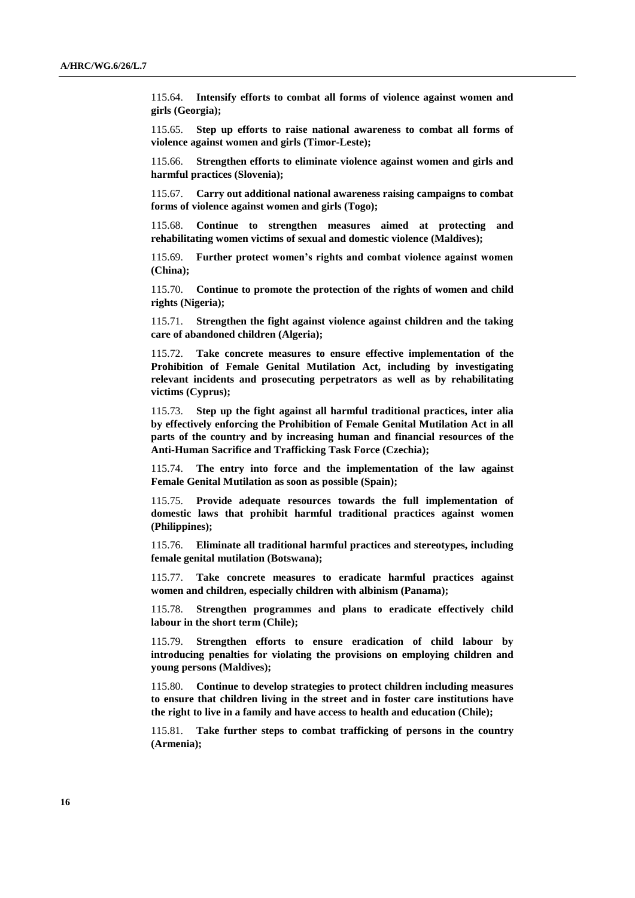115.64. **Intensify efforts to combat all forms of violence against women and girls (Georgia);**

115.65. **Step up efforts to raise national awareness to combat all forms of violence against women and girls (Timor-Leste);**

115.66. **Strengthen efforts to eliminate violence against women and girls and harmful practices (Slovenia);**

115.67. **Carry out additional national awareness raising campaigns to combat forms of violence against women and girls (Togo);**

115.68. **Continue to strengthen measures aimed at protecting and rehabilitating women victims of sexual and domestic violence (Maldives);**

115.69. **Further protect women's rights and combat violence against women (China);**

115.70. **Continue to promote the protection of the rights of women and child rights (Nigeria);**

115.71. **Strengthen the fight against violence against children and the taking care of abandoned children (Algeria);**

115.72. **Take concrete measures to ensure effective implementation of the Prohibition of Female Genital Mutilation Act, including by investigating relevant incidents and prosecuting perpetrators as well as by rehabilitating victims (Cyprus);**

115.73. **Step up the fight against all harmful traditional practices, inter alia by effectively enforcing the Prohibition of Female Genital Mutilation Act in all parts of the country and by increasing human and financial resources of the Anti-Human Sacrifice and Trafficking Task Force (Czechia);**

115.74. **The entry into force and the implementation of the law against Female Genital Mutilation as soon as possible (Spain);**

115.75. **Provide adequate resources towards the full implementation of domestic laws that prohibit harmful traditional practices against women (Philippines);**

115.76. **Eliminate all traditional harmful practices and stereotypes, including female genital mutilation (Botswana);**

115.77. **Take concrete measures to eradicate harmful practices against women and children, especially children with albinism (Panama);**

115.78. **Strengthen programmes and plans to eradicate effectively child labour in the short term (Chile);**

115.79. **Strengthen efforts to ensure eradication of child labour by introducing penalties for violating the provisions on employing children and young persons (Maldives);**

115.80. **Continue to develop strategies to protect children including measures to ensure that children living in the street and in foster care institutions have the right to live in a family and have access to health and education (Chile);**

115.81. **Take further steps to combat trafficking of persons in the country (Armenia);**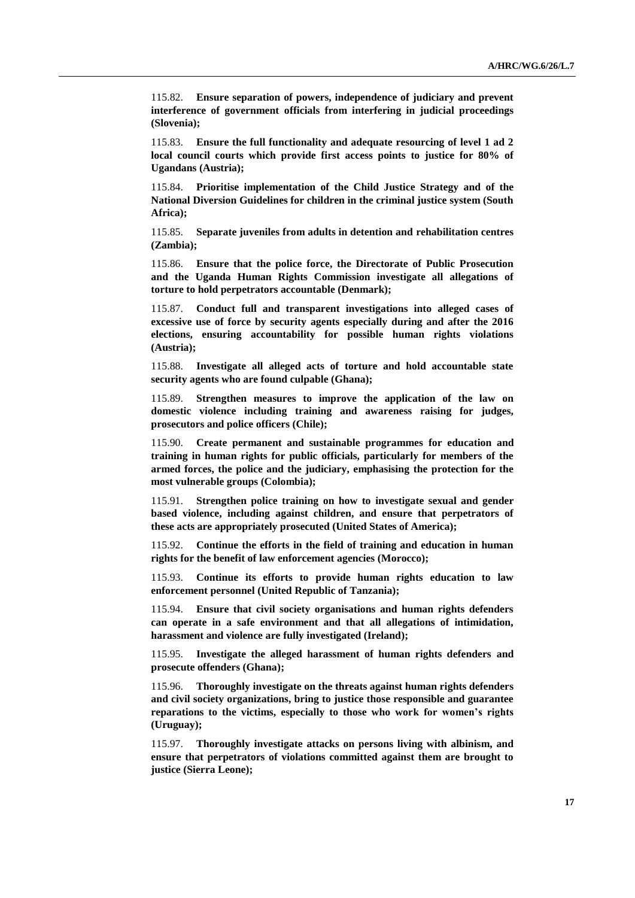115.82. **Ensure separation of powers, independence of judiciary and prevent interference of government officials from interfering in judicial proceedings (Slovenia);**

115.83. **Ensure the full functionality and adequate resourcing of level 1 ad 2 local council courts which provide first access points to justice for 80% of Ugandans (Austria);**

115.84. **Prioritise implementation of the Child Justice Strategy and of the National Diversion Guidelines for children in the criminal justice system (South Africa);**

115.85. **Separate juveniles from adults in detention and rehabilitation centres (Zambia);**

115.86. **Ensure that the police force, the Directorate of Public Prosecution and the Uganda Human Rights Commission investigate all allegations of torture to hold perpetrators accountable (Denmark);**

115.87. **Conduct full and transparent investigations into alleged cases of excessive use of force by security agents especially during and after the 2016 elections, ensuring accountability for possible human rights violations (Austria);**

115.88. **Investigate all alleged acts of torture and hold accountable state security agents who are found culpable (Ghana);**

115.89. **Strengthen measures to improve the application of the law on domestic violence including training and awareness raising for judges, prosecutors and police officers (Chile);**

115.90. **Create permanent and sustainable programmes for education and training in human rights for public officials, particularly for members of the armed forces, the police and the judiciary, emphasising the protection for the most vulnerable groups (Colombia);**

115.91. **Strengthen police training on how to investigate sexual and gender based violence, including against children, and ensure that perpetrators of these acts are appropriately prosecuted (United States of America);**

115.92. **Continue the efforts in the field of training and education in human rights for the benefit of law enforcement agencies (Morocco);**

115.93. **Continue its efforts to provide human rights education to law enforcement personnel (United Republic of Tanzania);**

115.94. **Ensure that civil society organisations and human rights defenders can operate in a safe environment and that all allegations of intimidation, harassment and violence are fully investigated (Ireland);**

115.95. **Investigate the alleged harassment of human rights defenders and prosecute offenders (Ghana);**

115.96. **Thoroughly investigate on the threats against human rights defenders and civil society organizations, bring to justice those responsible and guarantee reparations to the victims, especially to those who work for women's rights (Uruguay);**

115.97. **Thoroughly investigate attacks on persons living with albinism, and ensure that perpetrators of violations committed against them are brought to justice (Sierra Leone);**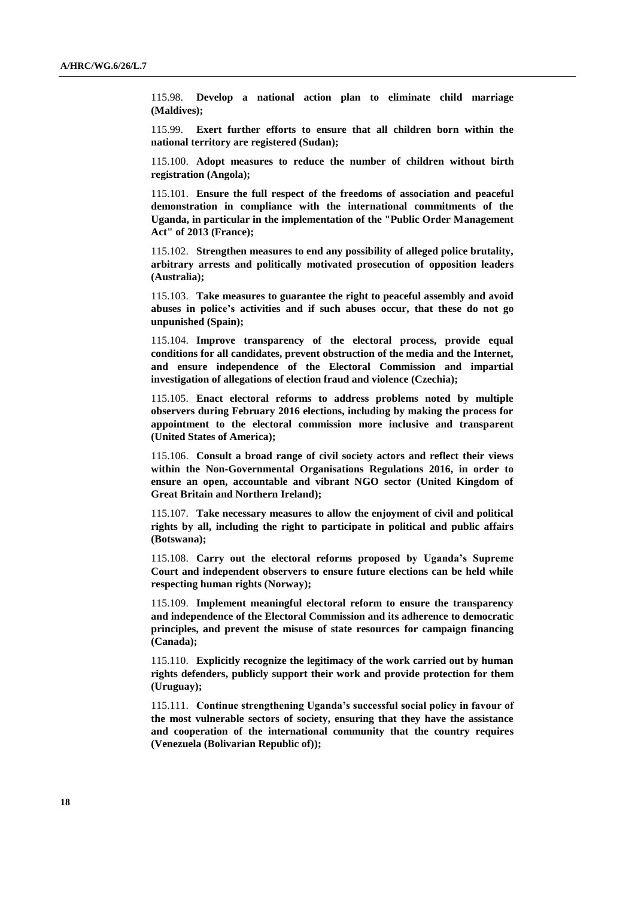115.98. **Develop a national action plan to eliminate child marriage (Maldives);**

115.99. **Exert further efforts to ensure that all children born within the national territory are registered (Sudan);**

115.100. **Adopt measures to reduce the number of children without birth registration (Angola);**

115.101. **Ensure the full respect of the freedoms of association and peaceful demonstration in compliance with the international commitments of the Uganda, in particular in the implementation of the "Public Order Management Act" of 2013 (France);**

115.102. **Strengthen measures to end any possibility of alleged police brutality, arbitrary arrests and politically motivated prosecution of opposition leaders (Australia);**

115.103. **Take measures to guarantee the right to peaceful assembly and avoid abuses in police's activities and if such abuses occur, that these do not go unpunished (Spain);**

115.104. **Improve transparency of the electoral process, provide equal conditions for all candidates, prevent obstruction of the media and the Internet, and ensure independence of the Electoral Commission and impartial investigation of allegations of election fraud and violence (Czechia);**

115.105. **Enact electoral reforms to address problems noted by multiple observers during February 2016 elections, including by making the process for appointment to the electoral commission more inclusive and transparent (United States of America);**

115.106. **Consult a broad range of civil society actors and reflect their views within the Non-Governmental Organisations Regulations 2016, in order to ensure an open, accountable and vibrant NGO sector (United Kingdom of Great Britain and Northern Ireland);**

115.107. **Take necessary measures to allow the enjoyment of civil and political rights by all, including the right to participate in political and public affairs (Botswana);**

115.108. **Carry out the electoral reforms proposed by Uganda's Supreme Court and independent observers to ensure future elections can be held while respecting human rights (Norway);**

115.109. **Implement meaningful electoral reform to ensure the transparency and independence of the Electoral Commission and its adherence to democratic principles, and prevent the misuse of state resources for campaign financing (Canada);**

115.110. **Explicitly recognize the legitimacy of the work carried out by human rights defenders, publicly support their work and provide protection for them (Uruguay);**

115.111. **Continue strengthening Uganda's successful social policy in favour of the most vulnerable sectors of society, ensuring that they have the assistance and cooperation of the international community that the country requires (Venezuela (Bolivarian Republic of));**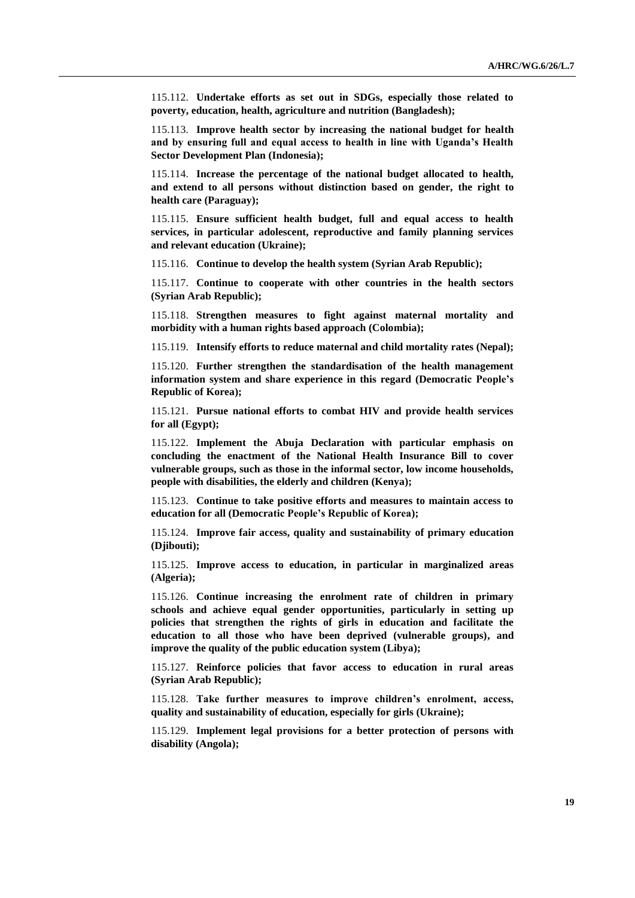115.112. **Undertake efforts as set out in SDGs, especially those related to poverty, education, health, agriculture and nutrition (Bangladesh);**

115.113. **Improve health sector by increasing the national budget for health and by ensuring full and equal access to health in line with Uganda's Health Sector Development Plan (Indonesia);**

115.114. **Increase the percentage of the national budget allocated to health, and extend to all persons without distinction based on gender, the right to health care (Paraguay);**

115.115. **Ensure sufficient health budget, full and equal access to health services, in particular adolescent, reproductive and family planning services and relevant education (Ukraine);**

115.116. **Continue to develop the health system (Syrian Arab Republic);**

115.117. **Continue to cooperate with other countries in the health sectors (Syrian Arab Republic);**

115.118. **Strengthen measures to fight against maternal mortality and morbidity with a human rights based approach (Colombia);**

115.119. **Intensify efforts to reduce maternal and child mortality rates (Nepal);**

115.120. **Further strengthen the standardisation of the health management information system and share experience in this regard (Democratic People's Republic of Korea);**

115.121. **Pursue national efforts to combat HIV and provide health services for all (Egypt);**

115.122. **Implement the Abuja Declaration with particular emphasis on concluding the enactment of the National Health Insurance Bill to cover vulnerable groups, such as those in the informal sector, low income households, people with disabilities, the elderly and children (Kenya);**

115.123. **Continue to take positive efforts and measures to maintain access to education for all (Democratic People's Republic of Korea);**

115.124. **Improve fair access, quality and sustainability of primary education (Djibouti);**

115.125. **Improve access to education, in particular in marginalized areas (Algeria);**

115.126. **Continue increasing the enrolment rate of children in primary schools and achieve equal gender opportunities, particularly in setting up policies that strengthen the rights of girls in education and facilitate the education to all those who have been deprived (vulnerable groups), and improve the quality of the public education system (Libya);**

115.127. **Reinforce policies that favor access to education in rural areas (Syrian Arab Republic);**

115.128. **Take further measures to improve children's enrolment, access, quality and sustainability of education, especially for girls (Ukraine);**

115.129. **Implement legal provisions for a better protection of persons with disability (Angola);**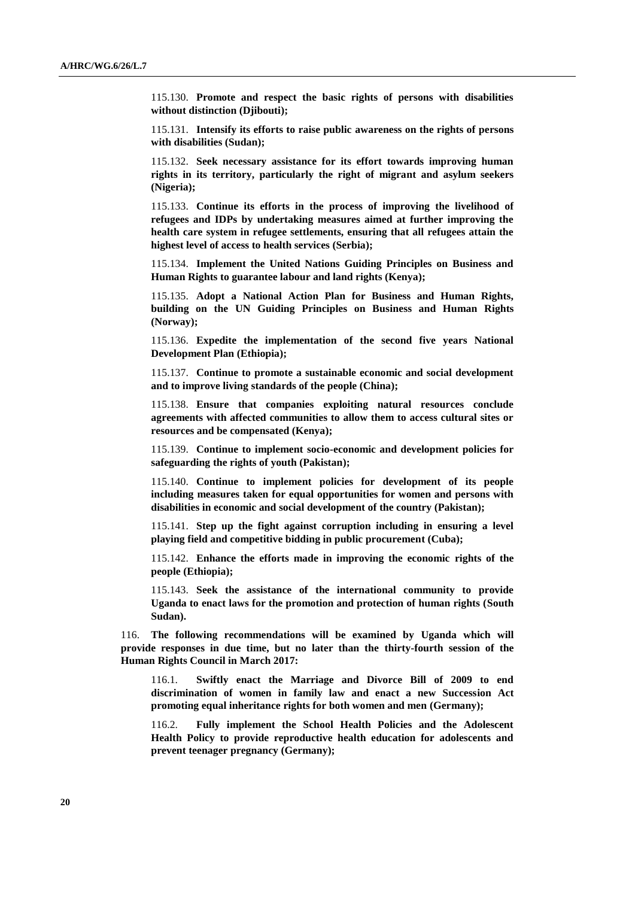115.130. **Promote and respect the basic rights of persons with disabilities without distinction (Djibouti);**

115.131. **Intensify its efforts to raise public awareness on the rights of persons with disabilities (Sudan);**

115.132. **Seek necessary assistance for its effort towards improving human rights in its territory, particularly the right of migrant and asylum seekers (Nigeria);**

115.133. **Continue its efforts in the process of improving the livelihood of refugees and IDPs by undertaking measures aimed at further improving the health care system in refugee settlements, ensuring that all refugees attain the highest level of access to health services (Serbia);**

115.134. **Implement the United Nations Guiding Principles on Business and Human Rights to guarantee labour and land rights (Kenya);**

115.135. **Adopt a National Action Plan for Business and Human Rights, building on the UN Guiding Principles on Business and Human Rights (Norway);**

115.136. **Expedite the implementation of the second five years National Development Plan (Ethiopia);**

115.137. **Continue to promote a sustainable economic and social development and to improve living standards of the people (China);**

115.138. **Ensure that companies exploiting natural resources conclude agreements with affected communities to allow them to access cultural sites or resources and be compensated (Kenya);**

115.139. **Continue to implement socio-economic and development policies for safeguarding the rights of youth (Pakistan);**

115.140. **Continue to implement policies for development of its people including measures taken for equal opportunities for women and persons with disabilities in economic and social development of the country (Pakistan);**

115.141. **Step up the fight against corruption including in ensuring a level playing field and competitive bidding in public procurement (Cuba);**

115.142. **Enhance the efforts made in improving the economic rights of the people (Ethiopia);**

115.143. **Seek the assistance of the international community to provide Uganda to enact laws for the promotion and protection of human rights (South Sudan).**

116. **The following recommendations will be examined by Uganda which will provide responses in due time, but no later than the thirty-fourth session of the Human Rights Council in March 2017:**

116.1. **Swiftly enact the Marriage and Divorce Bill of 2009 to end discrimination of women in family law and enact a new Succession Act promoting equal inheritance rights for both women and men (Germany);**

116.2. **Fully implement the School Health Policies and the Adolescent Health Policy to provide reproductive health education for adolescents and prevent teenager pregnancy (Germany);**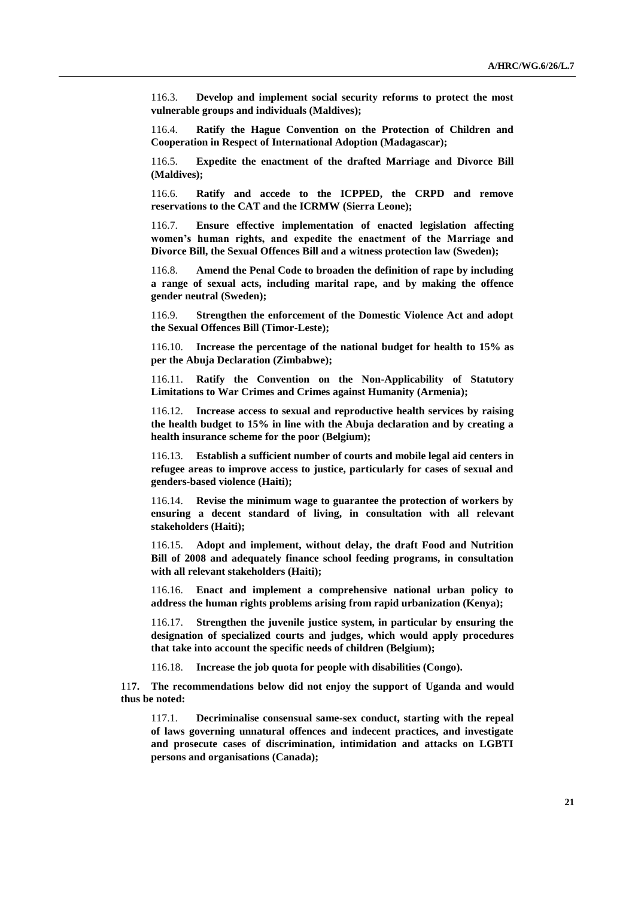116.3. **Develop and implement social security reforms to protect the most vulnerable groups and individuals (Maldives);**

116.4. **Ratify the Hague Convention on the Protection of Children and Cooperation in Respect of International Adoption (Madagascar);**

116.5. **Expedite the enactment of the drafted Marriage and Divorce Bill (Maldives);**

116.6. **Ratify and accede to the ICPPED, the CRPD and remove reservations to the CAT and the ICRMW (Sierra Leone);**

116.7. **Ensure effective implementation of enacted legislation affecting women's human rights, and expedite the enactment of the Marriage and Divorce Bill, the Sexual Offences Bill and a witness protection law (Sweden);**

116.8. **Amend the Penal Code to broaden the definition of rape by including a range of sexual acts, including marital rape, and by making the offence gender neutral (Sweden);**

116.9. **Strengthen the enforcement of the Domestic Violence Act and adopt the Sexual Offences Bill (Timor-Leste);**

116.10. **Increase the percentage of the national budget for health to 15% as per the Abuja Declaration (Zimbabwe);**

116.11. **Ratify the Convention on the Non-Applicability of Statutory Limitations to War Crimes and Crimes against Humanity (Armenia);**

116.12. **Increase access to sexual and reproductive health services by raising the health budget to 15% in line with the Abuja declaration and by creating a health insurance scheme for the poor (Belgium);**

116.13. **Establish a sufficient number of courts and mobile legal aid centers in refugee areas to improve access to justice, particularly for cases of sexual and genders-based violence (Haiti);**

116.14. **Revise the minimum wage to guarantee the protection of workers by ensuring a decent standard of living, in consultation with all relevant stakeholders (Haiti);**

116.15. **Adopt and implement, without delay, the draft Food and Nutrition Bill of 2008 and adequately finance school feeding programs, in consultation with all relevant stakeholders (Haiti);**

116.16. **Enact and implement a comprehensive national urban policy to address the human rights problems arising from rapid urbanization (Kenya);**

116.17. **Strengthen the juvenile justice system, in particular by ensuring the designation of specialized courts and judges, which would apply procedures that take into account the specific needs of children (Belgium);**

116.18. **Increase the job quota for people with disabilities (Congo).**

11**7. The recommendations below did not enjoy the support of Uganda and would thus be noted:**

117.1. **Decriminalise consensual same-sex conduct, starting with the repeal of laws governing unnatural offences and indecent practices, and investigate and prosecute cases of discrimination, intimidation and attacks on LGBTI persons and organisations (Canada);**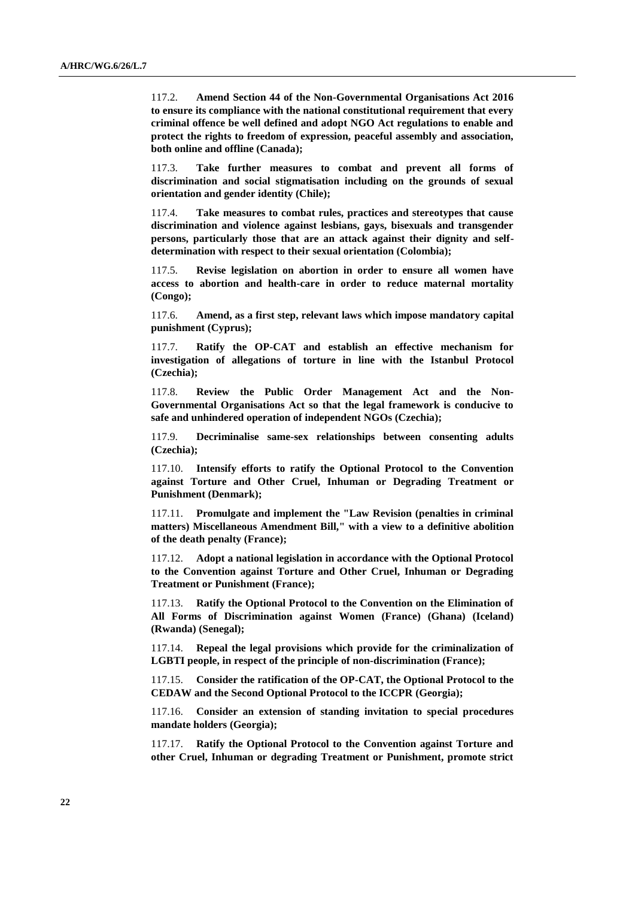117.2. **Amend Section 44 of the Non-Governmental Organisations Act 2016 to ensure its compliance with the national constitutional requirement that every criminal offence be well defined and adopt NGO Act regulations to enable and protect the rights to freedom of expression, peaceful assembly and association, both online and offline (Canada);**

117.3. **Take further measures to combat and prevent all forms of discrimination and social stigmatisation including on the grounds of sexual orientation and gender identity (Chile);**

117.4. **Take measures to combat rules, practices and stereotypes that cause discrimination and violence against lesbians, gays, bisexuals and transgender persons, particularly those that are an attack against their dignity and selfdetermination with respect to their sexual orientation (Colombia);**

117.5. **Revise legislation on abortion in order to ensure all women have access to abortion and health-care in order to reduce maternal mortality (Congo);**

117.6. **Amend, as a first step, relevant laws which impose mandatory capital punishment (Cyprus);**

117.7. **Ratify the OP-CAT and establish an effective mechanism for investigation of allegations of torture in line with the Istanbul Protocol (Czechia);**

117.8. **Review the Public Order Management Act and the Non-Governmental Organisations Act so that the legal framework is conducive to safe and unhindered operation of independent NGOs (Czechia);**

117.9. **Decriminalise same-sex relationships between consenting adults (Czechia);**

117.10. **Intensify efforts to ratify the Optional Protocol to the Convention against Torture and Other Cruel, Inhuman or Degrading Treatment or Punishment (Denmark);**

117.11. **Promulgate and implement the "Law Revision (penalties in criminal matters) Miscellaneous Amendment Bill," with a view to a definitive abolition of the death penalty (France);**

117.12. **Adopt a national legislation in accordance with the Optional Protocol to the Convention against Torture and Other Cruel, Inhuman or Degrading Treatment or Punishment (France);**

117.13. **Ratify the Optional Protocol to the Convention on the Elimination of All Forms of Discrimination against Women (France) (Ghana) (Iceland) (Rwanda) (Senegal);**

117.14. **Repeal the legal provisions which provide for the criminalization of LGBTI people, in respect of the principle of non-discrimination (France);**

117.15. **Consider the ratification of the OP-CAT, the Optional Protocol to the CEDAW and the Second Optional Protocol to the ICCPR (Georgia);**

117.16. **Consider an extension of standing invitation to special procedures mandate holders (Georgia);**

117.17. **Ratify the Optional Protocol to the Convention against Torture and other Cruel, Inhuman or degrading Treatment or Punishment, promote strict**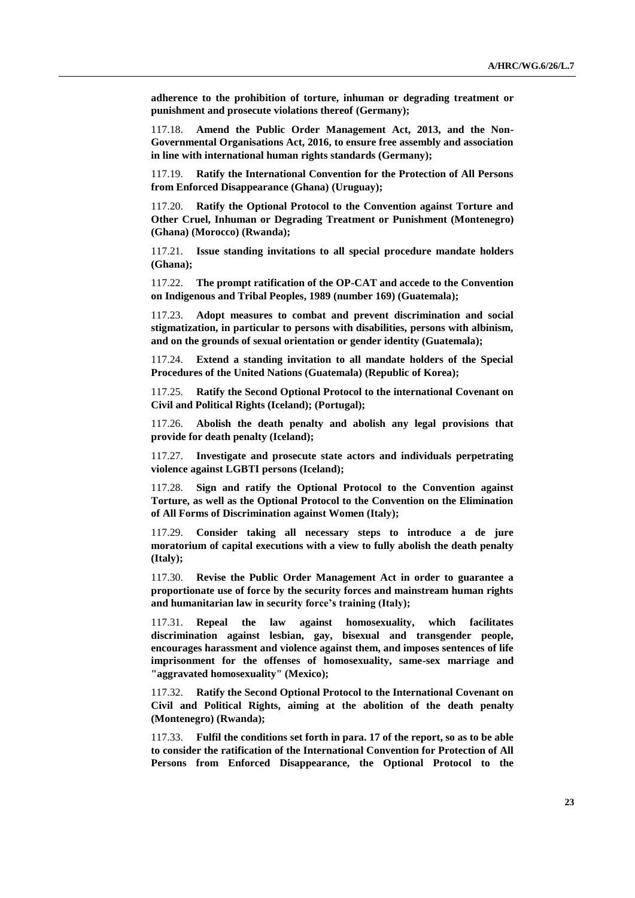**adherence to the prohibition of torture, inhuman or degrading treatment or punishment and prosecute violations thereof (Germany);**

117.18. **Amend the Public Order Management Act, 2013, and the Non-Governmental Organisations Act, 2016, to ensure free assembly and association in line with international human rights standards (Germany);**

117.19. **Ratify the International Convention for the Protection of All Persons from Enforced Disappearance (Ghana) (Uruguay);**

117.20. **Ratify the Optional Protocol to the Convention against Torture and Other Cruel, Inhuman or Degrading Treatment or Punishment (Montenegro) (Ghana) (Morocco) (Rwanda);**

117.21. **Issue standing invitations to all special procedure mandate holders (Ghana);**

117.22. **The prompt ratification of the OP-CAT and accede to the Convention on Indigenous and Tribal Peoples, 1989 (number 169) (Guatemala);**

117.23. **Adopt measures to combat and prevent discrimination and social stigmatization, in particular to persons with disabilities, persons with albinism, and on the grounds of sexual orientation or gender identity (Guatemala);**

117.24. **Extend a standing invitation to all mandate holders of the Special Procedures of the United Nations (Guatemala) (Republic of Korea);**

117.25. **Ratify the Second Optional Protocol to the international Covenant on Civil and Political Rights (Iceland); (Portugal);**

117.26. **Abolish the death penalty and abolish any legal provisions that provide for death penalty (Iceland);**

117.27. **Investigate and prosecute state actors and individuals perpetrating violence against LGBTI persons (Iceland);**

117.28. **Sign and ratify the Optional Protocol to the Convention against Torture, as well as the Optional Protocol to the Convention on the Elimination of All Forms of Discrimination against Women (Italy);**

117.29. **Consider taking all necessary steps to introduce a de jure moratorium of capital executions with a view to fully abolish the death penalty (Italy);**

117.30. **Revise the Public Order Management Act in order to guarantee a proportionate use of force by the security forces and mainstream human rights and humanitarian law in security force's training (Italy);**

117.31. **Repeal the law against homosexuality, which facilitates discrimination against lesbian, gay, bisexual and transgender people, encourages harassment and violence against them, and imposes sentences of life imprisonment for the offenses of homosexuality, same-sex marriage and "aggravated homosexuality" (Mexico);**

117.32. **Ratify the Second Optional Protocol to the International Covenant on Civil and Political Rights, aiming at the abolition of the death penalty (Montenegro) (Rwanda);**

117.33. **Fulfil the conditions set forth in para. 17 of the report, so as to be able to consider the ratification of the International Convention for Protection of All Persons from Enforced Disappearance, the Optional Protocol to the**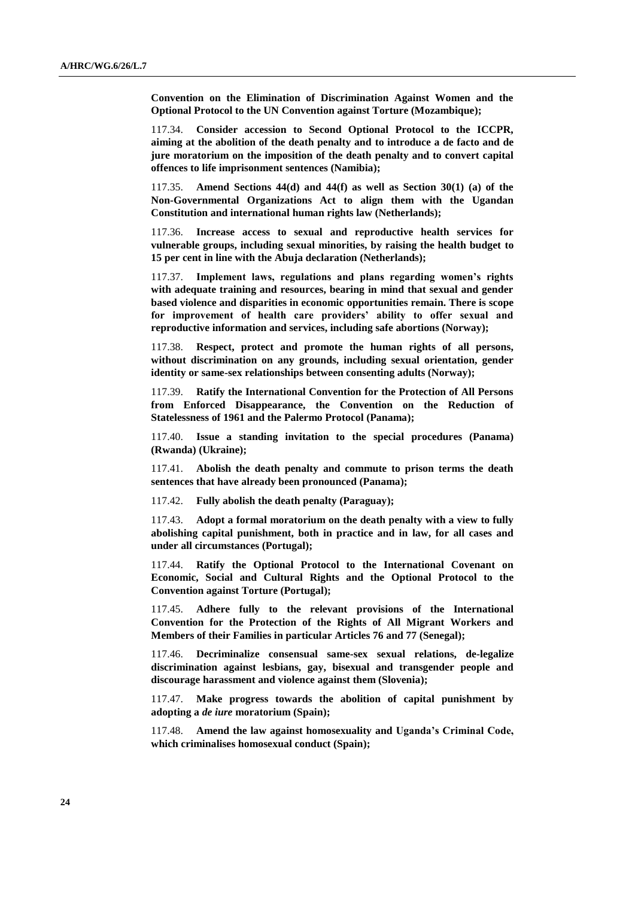**Convention on the Elimination of Discrimination Against Women and the Optional Protocol to the UN Convention against Torture (Mozambique);**

117.34. **Consider accession to Second Optional Protocol to the ICCPR, aiming at the abolition of the death penalty and to introduce a de facto and de jure moratorium on the imposition of the death penalty and to convert capital offences to life imprisonment sentences (Namibia);**

117.35. **Amend Sections 44(d) and 44(f) as well as Section 30(1) (a) of the Non-Governmental Organizations Act to align them with the Ugandan Constitution and international human rights law (Netherlands);**

117.36. **Increase access to sexual and reproductive health services for vulnerable groups, including sexual minorities, by raising the health budget to 15 per cent in line with the Abuja declaration (Netherlands);**

117.37. **Implement laws, regulations and plans regarding women's rights with adequate training and resources, bearing in mind that sexual and gender based violence and disparities in economic opportunities remain. There is scope for improvement of health care providers' ability to offer sexual and reproductive information and services, including safe abortions (Norway);**

117.38. **Respect, protect and promote the human rights of all persons, without discrimination on any grounds, including sexual orientation, gender identity or same-sex relationships between consenting adults (Norway);**

117.39. **Ratify the International Convention for the Protection of All Persons from Enforced Disappearance, the Convention on the Reduction of Statelessness of 1961 and the Palermo Protocol (Panama);**

117.40. **Issue a standing invitation to the special procedures (Panama) (Rwanda) (Ukraine);**

117.41. **Abolish the death penalty and commute to prison terms the death sentences that have already been pronounced (Panama);**

117.42. **Fully abolish the death penalty (Paraguay);**

117.43. **Adopt a formal moratorium on the death penalty with a view to fully abolishing capital punishment, both in practice and in law, for all cases and under all circumstances (Portugal);**

117.44. **Ratify the Optional Protocol to the International Covenant on Economic, Social and Cultural Rights and the Optional Protocol to the Convention against Torture (Portugal);**

117.45. **Adhere fully to the relevant provisions of the International Convention for the Protection of the Rights of All Migrant Workers and Members of their Families in particular Articles 76 and 77 (Senegal);**

117.46. **Decriminalize consensual same-sex sexual relations, de-legalize discrimination against lesbians, gay, bisexual and transgender people and discourage harassment and violence against them (Slovenia);**

117.47. **Make progress towards the abolition of capital punishment by adopting a** *de iure* **moratorium (Spain);**

117.48. **Amend the law against homosexuality and Uganda's Criminal Code, which criminalises homosexual conduct (Spain);**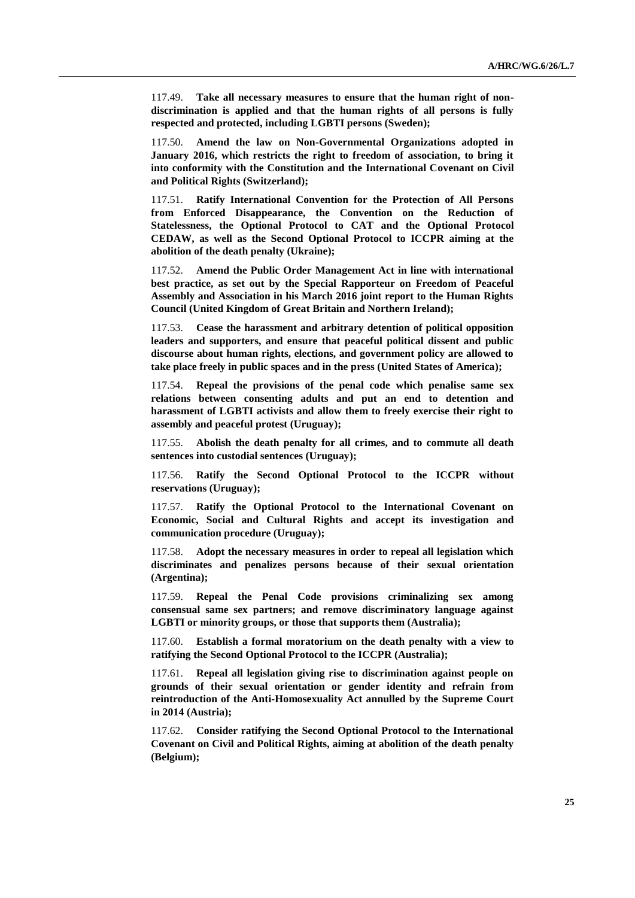117.49. **Take all necessary measures to ensure that the human right of nondiscrimination is applied and that the human rights of all persons is fully respected and protected, including LGBTI persons (Sweden);**

117.50. **Amend the law on Non-Governmental Organizations adopted in January 2016, which restricts the right to freedom of association, to bring it into conformity with the Constitution and the International Covenant on Civil and Political Rights (Switzerland);**

117.51. **Ratify International Convention for the Protection of All Persons from Enforced Disappearance, the Convention on the Reduction of Statelessness, the Optional Protocol to CAT and the Optional Protocol CEDAW, as well as the Second Optional Protocol to ICCPR aiming at the abolition of the death penalty (Ukraine);**

117.52. **Amend the Public Order Management Act in line with international best practice, as set out by the Special Rapporteur on Freedom of Peaceful Assembly and Association in his March 2016 joint report to the Human Rights Council (United Kingdom of Great Britain and Northern Ireland);**

117.53. **Cease the harassment and arbitrary detention of political opposition leaders and supporters, and ensure that peaceful political dissent and public discourse about human rights, elections, and government policy are allowed to take place freely in public spaces and in the press (United States of America);**

117.54. **Repeal the provisions of the penal code which penalise same sex relations between consenting adults and put an end to detention and harassment of LGBTI activists and allow them to freely exercise their right to assembly and peaceful protest (Uruguay);**

117.55. **Abolish the death penalty for all crimes, and to commute all death sentences into custodial sentences (Uruguay);**

117.56. **Ratify the Second Optional Protocol to the ICCPR without reservations (Uruguay);**

117.57. **Ratify the Optional Protocol to the International Covenant on Economic, Social and Cultural Rights and accept its investigation and communication procedure (Uruguay);**

117.58. **Adopt the necessary measures in order to repeal all legislation which discriminates and penalizes persons because of their sexual orientation (Argentina);**

117.59. **Repeal the Penal Code provisions criminalizing sex among consensual same sex partners; and remove discriminatory language against LGBTI or minority groups, or those that supports them (Australia);**

117.60. **Establish a formal moratorium on the death penalty with a view to ratifying the Second Optional Protocol to the ICCPR (Australia);**

117.61. **Repeal all legislation giving rise to discrimination against people on grounds of their sexual orientation or gender identity and refrain from reintroduction of the Anti-Homosexuality Act annulled by the Supreme Court in 2014 (Austria);**

117.62. **Consider ratifying the Second Optional Protocol to the International Covenant on Civil and Political Rights, aiming at abolition of the death penalty (Belgium);**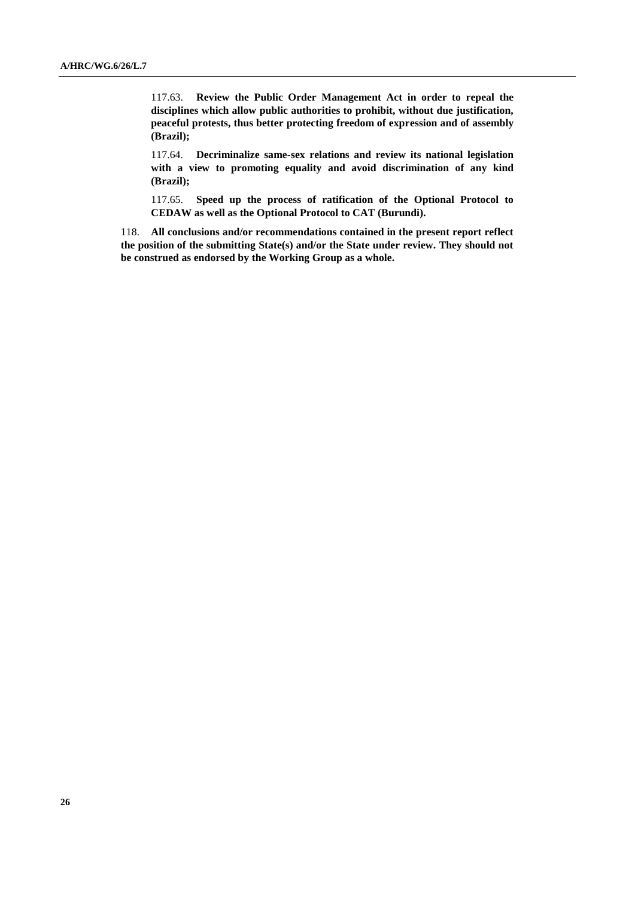117.63. **Review the Public Order Management Act in order to repeal the disciplines which allow public authorities to prohibit, without due justification, peaceful protests, thus better protecting freedom of expression and of assembly (Brazil);**

117.64. **Decriminalize same-sex relations and review its national legislation with a view to promoting equality and avoid discrimination of any kind (Brazil);**

117.65. **Speed up the process of ratification of the Optional Protocol to CEDAW as well as the Optional Protocol to CAT (Burundi).**

118. **All conclusions and/or recommendations contained in the present report reflect the position of the submitting State(s) and/or the State under review. They should not be construed as endorsed by the Working Group as a whole.**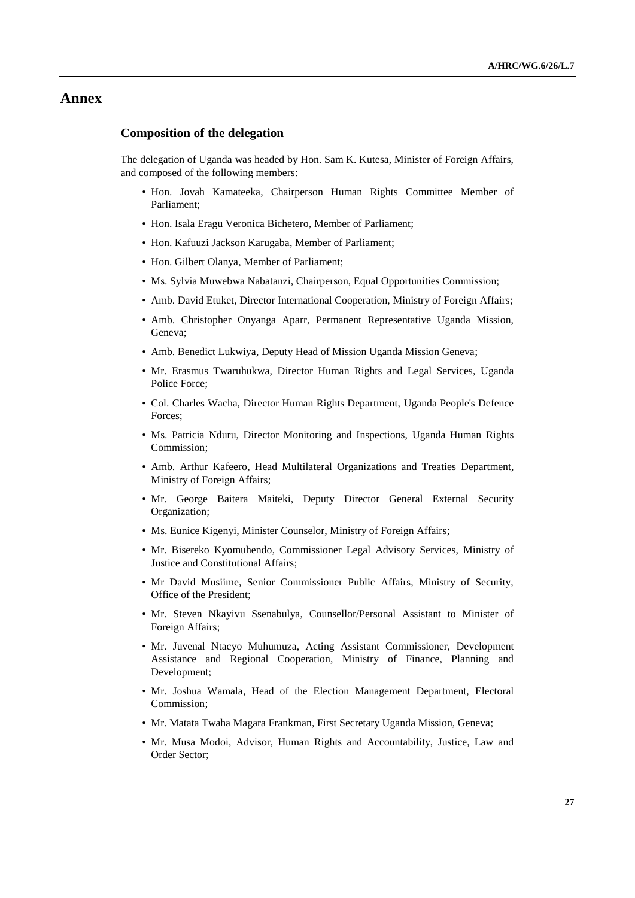### **Annex**

#### **Composition of the delegation**

The delegation of Uganda was headed by Hon. Sam K. Kutesa, Minister of Foreign Affairs, and composed of the following members:

- Hon. Jovah Kamateeka, Chairperson Human Rights Committee Member of Parliament;
- Hon. Isala Eragu Veronica Bichetero, Member of Parliament;
- Hon. Kafuuzi Jackson Karugaba, Member of Parliament;
- Hon. Gilbert Olanya, Member of Parliament;
- Ms. Sylvia Muwebwa Nabatanzi, Chairperson, Equal Opportunities Commission;
- Amb. David Etuket, Director International Cooperation, Ministry of Foreign Affairs;
- Amb. Christopher Onyanga Aparr, Permanent Representative Uganda Mission, Geneva;
- Amb. Benedict Lukwiya, Deputy Head of Mission Uganda Mission Geneva;
- Mr. Erasmus Twaruhukwa, Director Human Rights and Legal Services, Uganda Police Force;
- Col. Charles Wacha, Director Human Rights Department, Uganda People's Defence Forces;
- Ms. Patricia Nduru, Director Monitoring and Inspections, Uganda Human Rights Commission;
- Amb. Arthur Kafeero, Head Multilateral Organizations and Treaties Department, Ministry of Foreign Affairs;
- Mr. George Baitera Maiteki, Deputy Director General External Security Organization;
- Ms. Eunice Kigenyi, Minister Counselor, Ministry of Foreign Affairs;
- Mr. Bisereko Kyomuhendo, Commissioner Legal Advisory Services, Ministry of Justice and Constitutional Affairs;
- Mr David Musiime, Senior Commissioner Public Affairs, Ministry of Security, Office of the President;
- Mr. Steven Nkayivu Ssenabulya, Counsellor/Personal Assistant to Minister of Foreign Affairs;
- Mr. Juvenal Ntacyo Muhumuza, Acting Assistant Commissioner, Development Assistance and Regional Cooperation, Ministry of Finance, Planning and Development;
- Mr. Joshua Wamala, Head of the Election Management Department, Electoral Commission;
- Mr. Matata Twaha Magara Frankman, First Secretary Uganda Mission, Geneva;
- Mr. Musa Modoi, Advisor, Human Rights and Accountability, Justice, Law and Order Sector;